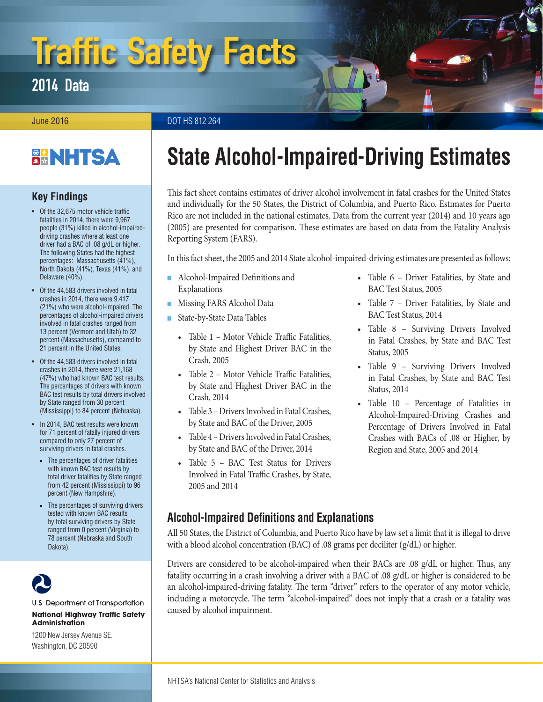# Traffic Safety Facts

2014 Data

**June 2016** DOT HS 812 264

### **BANHTSA**

**Key Findings**

- Of the 32,675 motor vehicle traffic fatalities in 2014, there were 9,967 people (31%) killed in alcohol-impaireddriving crashes where at least one driver had a BAC of .08 g/dL or higher. The following States had the highest percentages: Massachusetts (41%), North Dakota (41%), Texas (41%), and Delaware (40%).
- Of the 44,583 drivers involved in fatal crashes in 2014, there were 9,417 (21%) who were alcohol-impaired. The percentages of alcohol-impaired drivers involved in fatal crashes ranged from 13 percent (Vermont and Utah) to 32 percent (Massachusetts), compared to 21 percent in the United States.
- Of the 44,583 drivers involved in fatal crashes in 2014, there were 21,168 (47%) who had known BAC test results. The percentages of drivers with known BAC test results by total drivers involved by State ranged from 30 percent (Mississippi) to 84 percent (Nebraska).
- In 2014, BAC test results were known for 71 percent of fatally injured drivers compared to only 27 percent of surviving drivers in fatal crashes.
	- The percentages of driver fatalities with known BAC test results by total driver fatalities by State ranged from 42 percent (Mississippi) to 96 percent (New Hampshire).
	- The percentages of surviving drivers tested with known BAC results by total surviving drivers by State ranged from 0 percent (Virginia) to 78 percent (Nebraska and South Dakota).



#### U.S. Department of Transportation **National Highway Traffic Safety Administration**

1200 New Jersey Avenue SE. Washington, DC 20590

## <span id="page-0-1"></span>**State Alcohol-Impaired-Driving Estimates**

This fact sheet contains estimates of driver alcohol involvement in fatal crashes for the United States and individually for the 50 States, the District of Columbia, and Puerto Rico. Estimates for Puerto Rico are not included in the national estimates. Data from the current year (2014) and 10 years ago (2005) are presented for comparison. These estimates are based on data from the Fatality Analysis Reporting System (FARS).

In this fact sheet, the 2005 and 2014 State alcohol-impaired-driving estimates are presented as follows:

- Alcohol-Impaired Definitions and [Explanations](#page-0-0)
- [Missing FARS Alcohol Data](#page-1-0)
- [State-by-State Data Tables](#page-1-1)
	- [Table 1 Motor Vehicle Traffic Fatalities,](#page-3-0) [by State and Highest Driver BAC in the](#page-3-0) [Crash, 2005](#page-3-0)
	- [Table 2 Motor Vehicle Traffic Fatalities,](#page-4-0) [by State and Highest Driver BAC in the](#page-4-0) [Crash, 2014](#page-4-0)
	- [Table 3 Drivers Involved in Fatal Crashes,](#page-5-0) [by State and BAC of the Driver, 2005](#page-5-0)
	- [Table 4 Drivers Involved in Fatal Crashes,](#page-6-0) [by State and BAC of the Driver, 2014](#page-6-0)
	- [Table 5 BAC Test Status for Drivers](#page-7-0) [Involved in Fatal Traffic Crashes, by State,](#page-7-0) [2005 and 2014](#page-7-0)
- [Table 6 Driver Fatalities, by State and](#page-8-0) [BAC Test Status, 2005](#page-8-0)
- [Table 7 Driver Fatalities, by State and](#page-9-0) [BAC Test Status, 2014](#page-9-0)
- Table 8 Surviving Drivers Involved [in Fatal Crashes, by State and BAC Test](#page-10-0) [Status, 2005](#page-10-0)
- Table 9 Surviving Drivers Involved [in Fatal Crashes, by State and BAC Test](#page-11-0) [Status, 2014](#page-11-0)
- [Table 10 Percentage of Fatalities in](#page-12-0)  [Alcohol-Impaired-Driving Crashes and](#page-12-0) [Percentage of Drivers Involved in Fatal](#page-12-0) [Crashes with BACs of .08 or Higher, by](#page-12-0)  [Region and State, 2005 and 2014](#page-12-0)

### <span id="page-0-0"></span>**Alcohol-Impaired Definitions and Explanations**

All 50 States, the District of Columbia, and Puerto Rico have by law set a limit that it is illegal to drive with a blood alcohol concentration (BAC) of .08 grams per deciliter (g/dL) or higher.

Drivers are considered to be alcohol-impaired when their BACs are .08 g/dL or higher. Thus, any fatality occurring in a crash involving a driver with a BAC of .08 g/dL or higher is considered to be an alcohol-impaired-driving fatality. The term "driver" refers to the operator of any motor vehicle, including a motorcycle. The term "alcohol-impaired" does not imply that a crash or a fatality was caused by alcohol impairment.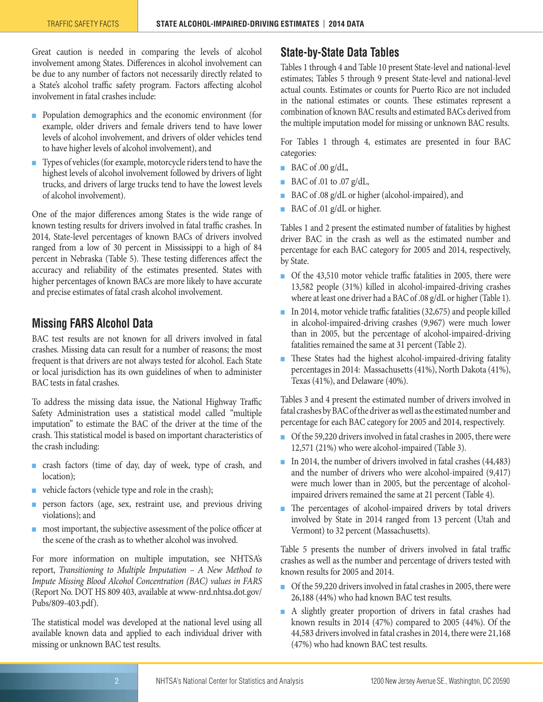Great caution is needed in comparing the levels of alcohol involvement among States. Differences in alcohol involvement can be due to any number of factors not necessarily directly related to a State's alcohol traffic safety program. Factors affecting alcohol involvement in fatal crashes include:

- Population demographics and the economic environment (for example, older drivers and female drivers tend to have lower levels of alcohol involvement, and drivers of older vehicles tend to have higher levels of alcohol involvement), and
- Types of vehicles (for example, motorcycle riders tend to have the highest levels of alcohol involvement followed by drivers of light trucks, and drivers of large trucks tend to have the lowest levels of alcohol involvement).

One of the major differences among States is the wide range of known testing results for drivers involved in fatal traffic crashes. In 2014, State-level percentages of known BACs of drivers involved ranged from a low of 30 percent in Mississippi to a high of 84 percent in Nebraska (Table 5). These testing differences affect the accuracy and reliability of the estimates presented. States with higher percentages of known BACs are more likely to have accurate and precise estimates of fatal crash alcohol involvement.

#### <span id="page-1-0"></span>**Missing FARS Alcohol Data**

BAC test results are not known for all drivers involved in fatal crashes. Missing data can result for a number of reasons; the most frequent is that drivers are not always tested for alcohol. Each State or local jurisdiction has its own guidelines of when to administer BAC tests in fatal crashes.

To address the missing data issue, the National Highway Traffic Safety Administration uses a statistical model called "multiple imputation" to estimate the BAC of the driver at the time of the crash. This statistical model is based on important characteristics of the crash including:

- crash factors (time of day, day of week, type of crash, and location);
- vehicle factors (vehicle type and role in the crash);
- person factors (age, sex, restraint use, and previous driving violations); and
- most important, the subjective assessment of the police officer at the scene of the crash as to whether alcohol was involved.

For more information on multiple imputation, see NHTSA's report, *Transitioning to Multiple Imputation – A New Method to Impute Missing Blood Alcohol Concentration (BAC) values in FARS*  (Report No. DOT HS 809 403, available at [www-nrd.nhtsa.dot.gov/](http://www-nrd.nhtsa.dot.gov/Pubs/809-403.pdf) [Pubs/809-403.pdf\)](http://www-nrd.nhtsa.dot.gov/Pubs/809-403.pdf).

The statistical model was developed at the national level using all available known data and applied to each individual driver with missing or unknown BAC test results.

#### <span id="page-1-1"></span>**State-by-State Data Tables**

Tables 1 through 4 and Table 10 present State-level and national-level estimates; Tables 5 through 9 present State-level and national-level actual counts. Estimates or counts for Puerto Rico are not included in the national estimates or counts. These estimates represent a combination of known BAC results and estimated BACs derived from the multiple imputation model for missing or unknown BAC results.

For Tables 1 through 4, estimates are presented in four BAC categories:

- $\blacksquare$  BAC of .00 g/dL,
- BAC of .01 to .07 g/dL,
- BAC of .08 g/dL or higher (alcohol-impaired), and
- BAC of .01 g/dL or higher.

Tables 1 and 2 present the estimated number of fatalities by highest driver BAC in the crash as well as the estimated number and percentage for each BAC category for 2005 and 2014, respectively, by State.

- Of the 43,510 motor vehicle traffic fatalities in 2005, there were 13,582 people (31%) killed in alcohol-impaired-driving crashes where at least one driver had a BAC of .08 g/dL or higher (Table 1).
- In 2014, motor vehicle traffic fatalities (32,675) and people killed in alcohol-impaired-driving crashes (9,967) were much lower than in 2005, but the percentage of alcohol-impaired-driving fatalities remained the same at 31 percent (Table 2).
- These States had the highest alcohol-impaired-driving fatality percentages in 2014: Massachusetts (41%), North Dakota (41%), Texas (41%), and Delaware (40%).

Tables 3 and 4 present the estimated number of drivers involved in fatal crashes by BAC of the driver as well as the estimated number and percentage for each BAC category for 2005 and 2014, respectively.

- Of the 59,220 drivers involved in fatal crashes in 2005, there were 12,571 (21%) who were alcohol-impaired (Table 3).
- In 2014, the number of drivers involved in fatal crashes (44,483) and the number of drivers who were alcohol-impaired (9,417) were much lower than in 2005, but the percentage of alcoholimpaired drivers remained the same at 21 percent (Table 4).
- The percentages of alcohol-impaired drivers by total drivers involved by State in 2014 ranged from 13 percent (Utah and Vermont) to 32 percent (Massachusetts).

Table 5 presents the number of drivers involved in fatal traffic crashes as well as the number and percentage of drivers tested with known results for 2005 and 2014.

- Of the 59,220 drivers involved in fatal crashes in 2005, there were 26,188 (44%) who had known BAC test results.
- A slightly greater proportion of drivers in fatal crashes had known results in 2014 (47%) compared to 2005 (44%). Of the 44,583 drivers involved in fatal crashes in 2014, there were 21,168 (47%) who had known BAC test results.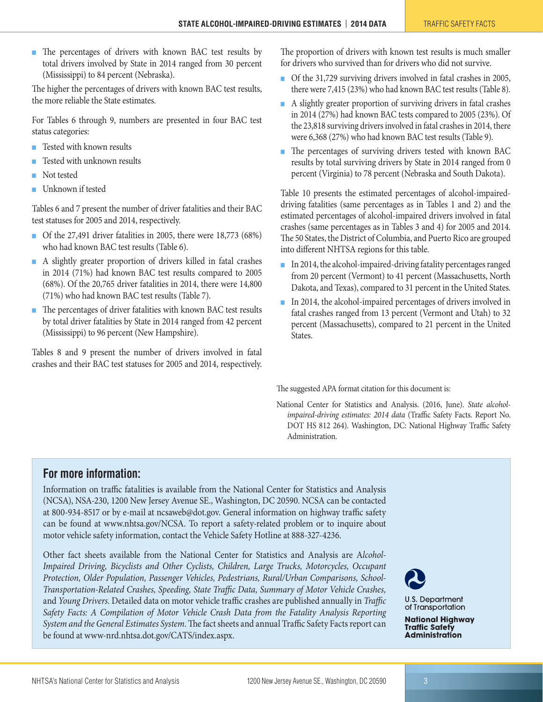■ The percentages of drivers with known BAC test results by total drivers involved by State in 2014 ranged from 30 percent (Mississippi) to 84 percent (Nebraska).

The higher the percentages of drivers with known BAC test results, the more reliable the State estimates.

For Tables 6 through 9, numbers are presented in four BAC test status categories:

- Tested with known results
- Tested with unknown results
- Not tested
- Unknown if tested

Tables 6 and 7 present the number of driver fatalities and their BAC test statuses for 2005 and 2014, respectively.

- Of the 27,491 driver fatalities in 2005, there were 18,773 (68%) who had known BAC test results (Table 6).
- A slightly greater proportion of drivers killed in fatal crashes in 2014 (71%) had known BAC test results compared to 2005 (68%). Of the 20,765 driver fatalities in 2014, there were 14,800 (71%) who had known BAC test results (Table 7).
- The percentages of driver fatalities with known BAC test results by total driver fatalities by State in 2014 ranged from 42 percent (Mississippi) to 96 percent (New Hampshire).

Tables 8 and 9 present the number of drivers involved in fatal crashes and their BAC test statuses for 2005 and 2014, respectively.

The proportion of drivers with known test results is much smaller for drivers who survived than for drivers who did not survive.

- Of the 31,729 surviving drivers involved in fatal crashes in 2005, there were 7,415 (23%) who had known BAC test results (Table 8).
- A slightly greater proportion of surviving drivers in fatal crashes in 2014 (27%) had known BAC tests compared to 2005 (23%). Of the 23,818 surviving drivers involved in fatal crashes in 2014, there were 6,368 (27%) who had known BAC test results (Table 9).
- The percentages of surviving drivers tested with known BAC results by total surviving drivers by State in 2014 ranged from 0 percent (Virginia) to 78 percent (Nebraska and South Dakota).

Table 10 presents the estimated percentages of alcohol-impaireddriving fatalities (same percentages as in Tables 1 and 2) and the estimated percentages of alcohol-impaired drivers involved in fatal crashes (same percentages as in Tables 3 and 4) for 2005 and 2014. The 50 States, the District of Columbia, and Puerto Rico are grouped into different NHTSA regions for this table.

- In 2014, the alcohol-impaired-driving fatality percentages ranged from 20 percent (Vermont) to 41 percent (Massachusetts, North Dakota, and Texas), compared to 31 percent in the United States.
- In 2014, the alcohol-impaired percentages of drivers involved in fatal crashes ranged from 13 percent (Vermont and Utah) to 32 percent (Massachusetts), compared to 21 percent in the United States.

The suggested APA format citation for this document is:

National Center for Statistics and Analysis. (2016, June). *State alcoholimpaired-driving estimates: 2014 data* (Traffic Safety Facts. Report No. DOT HS 812 264). Washington, DC: National Highway Traffic Safety Administration.

#### **For more information:**

Information on traffic fatalities is available from the National Center for Statistics and Analysis (NCSA), NSA-230, 1200 New Jersey Avenue SE., Washington, DC 20590. NCSA can be contacted at 800-934-8517 or by e-mail at ncsaweb@dot.gov. General information on highway traffic safety can be found at [www.nhtsa.gov/NCSA](http://www.nhtsa.gov/NCSA). To report a safety-related problem or to inquire about motor vehicle safety information, contact the Vehicle Safety Hotline at 888-327-4236.

Other fact sheets available from the National Center for Statistics and Analysis are A*lcohol-Impaired Driving, Bicyclists and Other Cyclists, Children, Large Trucks, Motorcycles, Occupant Protection, Older Population, Passenger Vehicles, Pedestrians, Rural/Urban Comparisons, School-Transportation-Related Crashes, Speeding, State Traffic Data, Summary of Motor Vehicle Crashes,*  and *Young Drivers*. Detailed data on motor vehicle traffic crashes are published annually in *Traffic Safety Facts: A Compilation of Motor Vehicle Crash Data from the Fatality Analysis Reporting System and the General Estimates System*. The fact sheets and annual Traffic Safety Facts report can be found at [www-nrd.nhtsa.dot.gov/CATS/index.aspx](http://www-nrd.nhtsa.dot.gov/CATS/index.aspx).



**U.S. Department** of Transportation

**National Highway Traffic Safety Administration**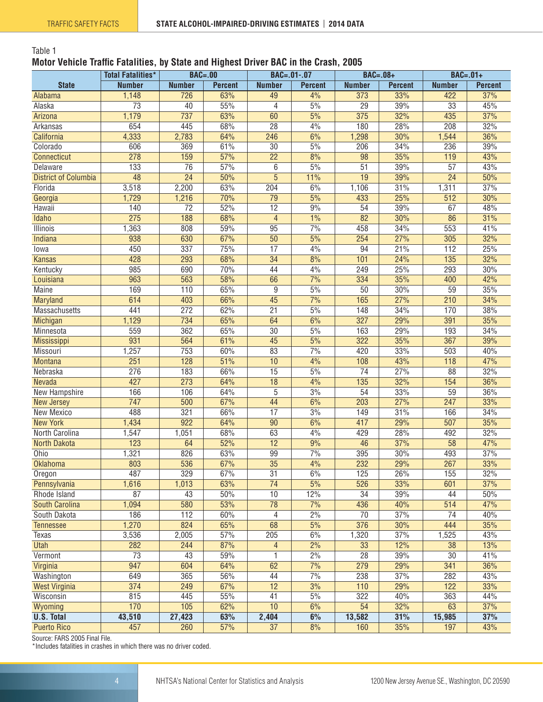#### <span id="page-3-0"></span>Table 1

#### **Motor Vehicle Traffic Fatalities, by State and Highest Driver BAC in the Crash, 2005**

|                             | <b>Total Fatalities*</b> | <b>BAC=.00</b>   |                | $BAC = .01-.07$          |                | $BAC=.08+$       |                | $BAC=.01+$       |                |
|-----------------------------|--------------------------|------------------|----------------|--------------------------|----------------|------------------|----------------|------------------|----------------|
| <b>State</b>                | <b>Number</b>            | <b>Number</b>    | <b>Percent</b> | <b>Number</b>            | <b>Percent</b> | <b>Number</b>    | <b>Percent</b> | <b>Number</b>    | <b>Percent</b> |
| Alabama                     | 1,148                    | 726              | 63%            | 49                       | 4%             | 373              | 33%            | 422              | 37%            |
| Alaska                      | $\overline{73}$          | 40               | 55%            | 4                        | 5%             | $\overline{29}$  | 39%            | $\overline{33}$  | 45%            |
| Arizona                     | 1,179                    | 737              | 63%            | 60                       | 5%             | 375              | 32%            | 435              | 37%            |
| Arkansas                    | 654                      | 445              | 68%            | $\overline{28}$          | 4%             | 180              | 28%            | 208              | 32%            |
| California                  | 4,333                    | 2,783            | 64%            | 246                      | 6%             | 1,298            | 30%            | 1,544            | 36%            |
| Colorado                    | 606                      | 369              | 61%            | $\overline{30}$          | 5%             | 206              | 34%            | 236              | 39%            |
| Connecticut                 | 278                      | 159              | 57%            | $\overline{22}$          | 8%             | 98               | 35%            | 119              | 43%            |
| Delaware                    | 133                      | $\overline{76}$  | 57%            | 6                        | 5%             | $\overline{51}$  | 39%            | $\overline{57}$  | 43%            |
| <b>District of Columbia</b> | 48                       | $\overline{24}$  | 50%            | $\overline{5}$           | 11%            | $\overline{19}$  | 39%            | $\overline{24}$  | 50%            |
| Florida                     | 3,518                    | 2,200            | 63%            | $\overline{204}$         | 6%             | 1,106            | 31%            | 1,311            | 37%            |
| Georgia                     | 1,729                    | 1,216            | 70%            | $\overline{79}$          | 5%             | 433              | 25%            | 512              | 30%            |
| Hawaii                      | 140                      | $\overline{72}$  | 52%            | $\overline{12}$          | 9%             | 54               | 39%            | 67               | 48%            |
| Idaho                       | $\overline{275}$         | 188              | 68%            | $\overline{4}$           | 1%             | $\overline{82}$  | 30%            | 86               | 31%            |
| <b>Illinois</b>             | 1,363                    | 808              | 59%            | $\overline{95}$          | 7%             | 458              | 34%            | 553              | 41%            |
| Indiana                     | 938                      | 630              | 67%            | $\overline{50}$          | 5%             | 254              | 27%            | 305              | 32%            |
| lowa                        | 450                      | 337              | 75%            | $\overline{17}$          | 4%             | 94               | 21%            | 112              | 25%            |
| <b>Kansas</b>               | 428                      | 293              | 68%            | $\overline{34}$          | 8%             | 101              | 24%            | $\overline{135}$ | 32%            |
| Kentucky                    | 985                      | 690              | 70%            | 44                       | 4%             | 249              | 25%            | 293              | 30%            |
| Louisiana                   | 963                      | 563              | 58%            | 66                       | 7%             | 334              | 35%            | 400              | 42%            |
| <b>Maine</b>                | 169                      | 110              | 65%            | 9                        | 5%             | 50               | 30%            | 59               | 35%            |
| Maryland                    | 614                      | 403              | 66%            | 45                       | 7%             | 165              | 27%            | 210              | 34%            |
| Massachusetts               | 441                      | 272              | 62%            | 21                       | 5%             | 148              | 34%            | 170              | 38%            |
| Michigan                    | 1,129                    | 734              | 65%            | 64                       | 6%             | 327              | 29%            | 391              | 35%            |
| Minnesota                   | 559                      | 362              | 65%            | $\overline{30}$          | 5%             | 163              | 29%            | 193              | 34%            |
| Mississippi                 | 931                      | 564              | 61%            | 45                       | 5%             | 322              | 35%            | 367              | 39%            |
| Missouri                    | 1,257                    | 753              | 60%            | 83                       | 7%             | 420              | 33%            | 503              | 40%            |
| <b>Montana</b>              | $\overline{251}$         | 128              | 51%            | 10                       | 4%             | 108              | 43%            | 118              | 47%            |
| Nebraska                    | 276                      | 183              | 66%            | 15                       | 5%             | $\overline{74}$  | 27%            | 88               | 32%            |
| Nevada                      | 427                      | $\overline{273}$ | 64%            | $\overline{18}$          | 4%             | $\overline{135}$ | 32%            | 154              | 36%            |
| New Hampshire               | 166                      | 106              | 64%            | $\overline{5}$           | 3%             | $\overline{54}$  | 33%            | 59               | 36%            |
| <b>New Jersey</b>           | 747                      | 500              | 67%            | 44                       | 6%             | 203              | 27%            | 247              | 33%            |
| New Mexico                  | 488                      | 321              | 66%            | $\overline{17}$          | 3%             | 149              | 31%            | 166              | 34%            |
| <b>New York</b>             | 1,434                    | $\overline{922}$ | 64%            | $\overline{90}$          | 6%             | 417              | 29%            | 507              | 35%            |
| North Carolina              | 1,547                    | 1,051            | 68%            | 63                       | 4%             | 429              | 28%            | 492              | 32%            |
| <b>North Dakota</b>         | 123                      | 64               | 52%            | 12                       | 9%             | 46               | 37%            | $\overline{58}$  | 47%            |
| Ohio                        | 1,321                    | 826              | 63%            | 99                       | 7%             | 395              | 30%            | 493              | 37%            |
| Oklahoma                    | 803                      | 536              | 67%            | $\overline{35}$          | 4%             | 232              | 29%            | 267              | 33%            |
| Oregon                      | 487                      | 329              | 67%            | 31                       | 6%             | 125              | 26%            | 155              | 32%            |
| Pennsylvania                | 1,616                    | 1,013            | 63%            | 74                       | 5%             | 526              | 33%            | 601              | 37%            |
| Rhode Island                | $\overline{87}$          | 43               | 50%            | 10                       | 12%            | $\overline{34}$  | 39%            | 44               | 50%            |
| South Carolina              | 1,094                    | 580              | 53%            | $\overline{78}$          | 7%             | 436              | 40%            | 514              | 47%            |
| South Dakota                | 186                      | 112              | 60%            | 4                        | 2%             | 70               | 37%            | 74               | 40%            |
| <b>Tennessee</b>            | 1,270                    | 824              | 65%            | 68                       | 5%             | 376              | 30%            | 444              | 35%            |
| Texas                       | 3,536                    | 2,005            | 57%            | 205                      | 6%             | 1,320            | 37%            | 1,525            | 43%            |
| <b>Utah</b>                 | 282                      | 244              | 87%            | $\overline{\mathcal{A}}$ | 2%             | 33               | 12%            | 38               | 13%            |
| Vermont                     | 73                       | 43               | 59%            | 1                        | 2%             | 28               | 39%            | $30\,$           | 41%            |
| Virginia                    | 947                      | 604              | 64%            | 62                       | 7%             | 279              | 29%            | 341              | 36%            |
| Washington                  | 649                      | 365              | 56%            | 44                       | 7%             | 238              | 37%            | 282              | 43%            |
| <b>West Virginia</b>        | $\overline{374}$         | 249              | 67%            | $\overline{12}$          | 3%             | 110              | 29%            | 122              | 33%            |
| Wisconsin                   | 815                      | 445              | 55%            | 41                       | 5%             | 322              | 40%            | 363              | 44%            |
| Wyoming                     | 170                      | 105              | 62%            | 10                       | 6%             | 54               | 32%            | 63               | 37%            |
| <b>U.S. Total</b>           | 43,510                   | 27,423           | 63%            | 2,404                    | 6%             | 13,582           | 31%            | 15,985           | 37%            |
| <b>Puerto Rico</b>          | 457                      | 260              | 57%            | $\overline{37}$          | 8%             | 160              | 35%            | 197              | 43%            |
|                             |                          |                  |                |                          |                |                  |                |                  |                |

Source: FARS 2005 Final File.

\*Includes fatalities in crashes in which there was no driver coded.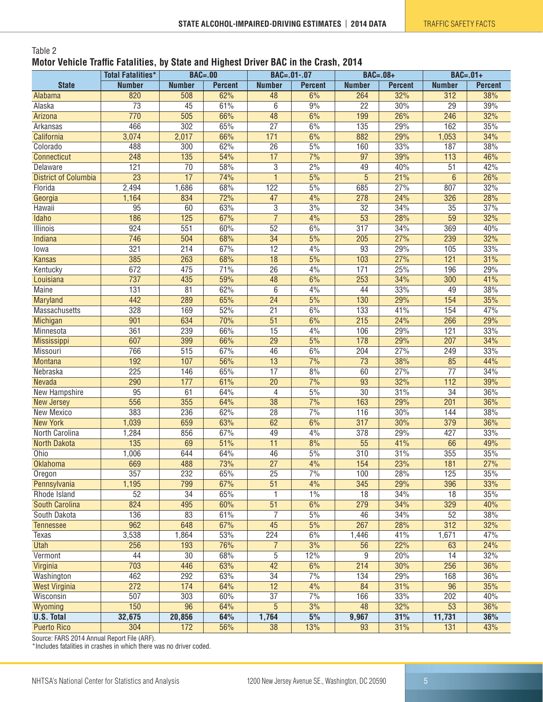#### <span id="page-4-0"></span>Table 2 **Motor Vehicle Traffic Fatalities, by State and Highest Driver BAC in the Crash, 2014**

|                             | <b>Total Fatalities*</b> | $BAC = .00$      |                | BAC=.01-.07      |                   | <b>BAC=.08+</b>  |                |                  | $BAC=.01+$     |  |
|-----------------------------|--------------------------|------------------|----------------|------------------|-------------------|------------------|----------------|------------------|----------------|--|
| <b>State</b>                | <b>Number</b>            | <b>Number</b>    | <b>Percent</b> | <b>Number</b>    | <b>Percent</b>    | <b>Number</b>    | <b>Percent</b> | <b>Number</b>    | <b>Percent</b> |  |
| Alabama                     | 820                      | 508              | 62%            | 48               | 6%                | 264              | 32%            | 312              | 38%            |  |
| Alaska                      | $\overline{73}$          | 45               | 61%            | $\overline{6}$   | 9%                | $\overline{22}$  | 30%            | $\overline{29}$  | 39%            |  |
| Arizona                     | 770                      | 505              | 66%            | $\overline{48}$  | 6%                | 199              | 26%            | 246              | 32%            |  |
| Arkansas                    | 466                      | $\overline{302}$ | 65%            | $\overline{27}$  | 6%                | 135              | 29%            | 162              | 35%            |  |
| California                  | 3,074                    | 2,017            | 66%            | $\overline{171}$ | 6%                | 882              | 29%            | 1,053            | 34%            |  |
| Colorado                    | 488                      | $\overline{300}$ | 62%            | $\overline{26}$  | 5%                | 160              | 33%            | 187              | 38%            |  |
| Connecticut                 | 248                      | $\overline{135}$ | 54%            | 17               | 7%                | $\overline{97}$  | 39%            | $\overline{113}$ | 46%            |  |
| <b>Delaware</b>             | 121                      | $\overline{70}$  | 58%            | $\overline{3}$   | 2%                | 49               | 40%            | 51               | 42%            |  |
| <b>District of Columbia</b> | $\overline{23}$          | 17               | 74%            | $\mathbf{1}$     | 5%                | $\overline{5}$   | 21%            | $6\phantom{1}$   | 26%            |  |
| Florida                     | 2,494                    | 1,686            | 68%            | 122              | 5%                | 685              | 27%            | 807              | 32%            |  |
| Georgia                     | 1,164                    | 834              | 72%            | 47               | 4%                | 278              | 24%            | 326              | 28%            |  |
| Hawaii                      | 95                       | 60               | 63%            | $\overline{3}$   | 3%                | $\overline{32}$  | 34%            | 35               | 37%            |  |
| Idaho                       | 186                      | 125              | 67%            | $\overline{7}$   | 4%                | $\overline{53}$  | 28%            | $\overline{59}$  | 32%            |  |
| Illinois                    | 924                      | 551              | 60%            | 52               | 6%                | 317              | 34%            | 369              | 40%            |  |
| Indiana                     | 746                      | 504              | 68%            | $\overline{34}$  | 5%                | 205              | 27%            | 239              | 32%            |  |
| lowa                        | 321                      | $\overline{214}$ | 67%            | $\overline{12}$  | 4%                | $\overline{93}$  | 29%            | 105              | 33%            |  |
| <b>Kansas</b>               | 385                      | 263              | 68%            | $\overline{18}$  | $\frac{5\%}{10}$  | 103              | 27%            | 121              | 31%            |  |
| Kentucky                    | 672                      | 475              | 71%            | $\overline{26}$  | 4%                | 171              | 25%            | 196              | 29%            |  |
| Louisiana                   | 737                      | 435              | 59%            | $\overline{48}$  | 6%                | 253              | 34%            | 300              | 41%            |  |
| <b>Maine</b>                | 131                      | 81               | 62%            | 6                | 4%                | 44               | 33%            | 49               | 38%            |  |
| Maryland                    | 442                      | 289              | 65%            | $\overline{24}$  | 5%                | 130              | 29%            | 154              | 35%            |  |
| <b>Massachusetts</b>        | 328                      | 169              | 52%            | 21               | 6%                | 133              | 41%            | 154              | 47%            |  |
| Michigan                    | 901                      | 634              | 70%            | $\overline{51}$  | 6%                | 215              | 24%            | 266              | 29%            |  |
| Minnesota                   | 361                      | 239              | 66%            | $\overline{15}$  | 4%                | 106              | 29%            | 121              | 33%            |  |
| Mississippi                 | 607                      | 399              | 66%            | $\overline{29}$  | 5%                | 178              | 29%            | 207              | 34%            |  |
| Missouri                    | 766                      | 515              | 67%            | 46               | 6%                | 204              | 27%            | 249              | 33%            |  |
| <b>Montana</b>              | 192                      | 107              | 56%            | 13               | 7%                | $\overline{73}$  | 38%            | 85               | 44%            |  |
| Nebraska                    | 225                      | 146              | 65%            | $\overline{17}$  | 8%                | 60               | 27%            | $\overline{77}$  | 34%            |  |
| <b>Nevada</b>               | 290                      | 177              | 61%            | $\overline{20}$  | $\frac{70}{6}$    | $\overline{93}$  | 32%            | 112              | 39%            |  |
| New Hampshire               | $\overline{95}$          | 61               | 64%            | 4                | $\frac{5\%}{2\%}$ | $\overline{30}$  | 31%            | 34               | 36%            |  |
| <b>New Jersey</b>           | 556                      | 355              | 64%            | $\overline{38}$  | 7%                | 163              | 29%            | 201              | 36%            |  |
| New Mexico                  | 383                      | 236              | 62%            | $\overline{28}$  | $\frac{70}{6}$    | 116              | 30%            | 144              | 38%            |  |
| <b>New York</b>             | 1,039                    | 659              | 63%            | 62               | 6%                | $\overline{317}$ | 30%            | 379              | 36%            |  |
| North Carolina              | 1,284                    | 856              | 67%            | 49               | 4%                | 378              | 29%            | 427              | 33%            |  |
| <b>North Dakota</b>         | 135                      | 69               | 51%            | 11               | 8%                | 55               | 41%            | 66               | 49%            |  |
| Ohio                        | 1,006                    | 644              | 64%            | 46               | 5%                | 310              | 31%            | 355              | 35%            |  |
| <b>Oklahoma</b>             | 669                      | 488              | 73%            | $\overline{27}$  | 4%                | 154              | 23%            | 181              | 27%            |  |
| Oregon                      | 357                      | 232              | 65%            | 25               | 7%                | 100              | 28%            | 125              | 35%            |  |
| Pennsylvania                | 1,195                    | 799              | 67%            | $\overline{51}$  | 4%                | 345              | 29%            | 396              | 33%            |  |
| Rhode Island                | 52                       | $\overline{34}$  | 65%            | 1                | $1\%$             | $\overline{18}$  | 34%            | 18               | 35%            |  |
| <b>South Carolina</b>       | 824                      | 495              | 60%            | $\overline{51}$  | 6%                | 279              | 34%            | 329              | 40%            |  |
| South Dakota                | 136                      | 83               | 61%            | 7                | 5%                | 46               | 34%            | 52               | 38%            |  |
| <b>Tennessee</b>            | 962                      | 648              | 67%            | 45               | 5%                | 267              | 28%            | 312              | 32%            |  |
| Texas                       | 3,538                    | 1,864            | 53%            | 224              | 6%                | 1,446            | 41%            | 1,671            | 47%            |  |
| <b>Utah</b>                 | 256                      | 193              | 76%            | $\overline{7}$   | 3%                | $\overline{56}$  | 22%            | 63               | 24%            |  |
| Vermont                     | 44                       | 30               | 68%            | $\overline{5}$   | 12%               | 9                | 20%            | 14               | 32%            |  |
| Virginia                    | 703                      | 446              | 63%            | 42               | 6%                | 214              | 30%            | 256              | 36%            |  |
| Washington                  | 462                      | 292              | 63%            | 34               | 7%                | 134              | 29%            | 168              | 36%            |  |
| <b>West Virginia</b>        | 272                      | 174              | 64%            | $\overline{12}$  | 4%                | 84               | 31%            | 96               | 35%            |  |
| Wisconsin                   | 507                      | 303              | 60%            | 37               | 7%                | 166              | 33%            | 202              | 40%            |  |
| Wyoming                     | 150                      | 96               | 64%            | $\overline{5}$   | 3%                | 48               | 32%            | $\overline{53}$  | 36%            |  |
| <b>U.S. Total</b>           | 32,675                   | 20,856           | 64%            | 1,764            | 5%                | 9,967            | 31%            | 11,731           | 36%            |  |
| <b>Puerto Rico</b>          | 304                      | 172              | 56%            | $\overline{38}$  | 13%               | 93               | 31%            | 131              | 43%            |  |

Source: FARS 2014 Annual Report File (ARF).

\*Includes fatalities in crashes in which there was no driver coded.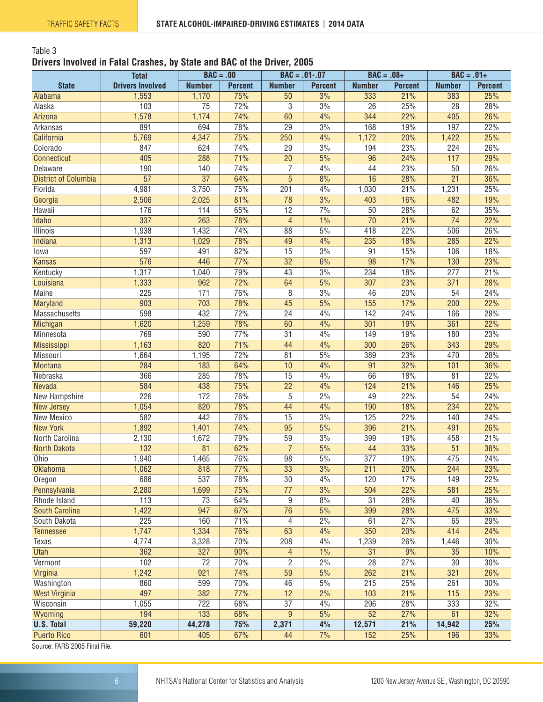#### <span id="page-5-0"></span>Table 3 **Drivers Involved in Fatal Crashes, by State and BAC of the Driver, 2005**

|                             | <b>Total</b>            | $BAC = .00$     |                |                 | $BAC = .01-.07$  | $BAC = .08+$     |                | $BAC = .01+$     |                |
|-----------------------------|-------------------------|-----------------|----------------|-----------------|------------------|------------------|----------------|------------------|----------------|
| <b>State</b>                | <b>Drivers Involved</b> | <b>Number</b>   | <b>Percent</b> | <b>Number</b>   | <b>Percent</b>   | <b>Number</b>    | <b>Percent</b> | <b>Number</b>    | <b>Percent</b> |
| Alabama                     | 1,553                   | 1,170           | 75%            | 50              | 3%               | 333              | 21%            | 383              | 25%            |
| Alaska                      | 103                     | $\overline{75}$ | 72%            | 3               | 3%               | $\overline{26}$  | 25%            | $\overline{28}$  | 28%            |
| Arizona                     | 1,578                   | 1,174           | 74%            | 60              | 4%               | 344              | 22%            | 405              | 26%            |
| Arkansas                    | 891                     | 694             | 78%            | 29              | 3%               | 168              | 19%            | 197              | 22%            |
| California                  | 5,769                   | 4,347           | 75%            | 250             | 4%               | 1,172            | 20%            | 1,422            | 25%            |
| Colorado                    | 847                     | 624             | 74%            | $\overline{29}$ | 3%               | 194              | 23%            | 224              | 26%            |
| <b>Connecticut</b>          | 405                     | 288             | 71%            | $\overline{20}$ | 5%               | 96               | 24%            | 117              | 29%            |
| <b>Delaware</b>             | 190                     | 140             | 74%            | $\overline{7}$  | 4%               | 44               | 23%            | 50               | 26%            |
| <b>District of Columbia</b> | $\overline{57}$         | $\overline{37}$ | 64%            | $\overline{5}$  | 8%               | 16               | 28%            | $\overline{21}$  | 36%            |
| Florida                     | 4,981                   | 3,750           | 75%            | 201             | 4%               | 1,030            | 21%            | 1,231            | 25%            |
| Georgia                     | 2,506                   | 2,025           | 81%            | 78              | 3%               | 403              | 16%            | 482              | 19%            |
| Hawaii                      | 176                     | 114             | 65%            | 12              | 7%               | 50               | 28%            | 62               | 35%            |
| <b>Idaho</b>                | 337                     | 263             | 78%            | 4               | 1%               | $\overline{70}$  | 21%            | $\overline{74}$  | 22%            |
| <b>Illinois</b>             | 1,938                   | 1,432           | 74%            | 88              | 5%               | 418              | 22%            | 506              | 26%            |
| Indiana                     | 1,313                   | 1,029           | 78%            | 49              | 4%               | 235              | 18%            | 285              | 22%            |
| lowa                        | 597                     | 491             | 82%            | 15              | $\overline{3\%}$ | 91               | 15%            | 106              | 18%            |
| <b>Kansas</b>               | 576                     | 446             | 77%            | 32              | 6%               | 98               | 17%            | 130              | 23%            |
| Kentucky                    | 1,317                   | 1,040           | 79%            | 43              | 3%               | 234              | 18%            | 277              | 21%            |
| Louisiana                   | 1,333                   | 962             | 72%            | 64              | 5%               | 307              | 23%            | 371              | 28%            |
| <b>Maine</b>                | 225                     | 171             | 76%            | 8               | 3%               | 46               | 20%            | 54               | 24%            |
| <b>Maryland</b>             | 903                     | 703             | 78%            | 45              | 5%               | 155              | 17%            | 200              | 22%            |
| Massachusetts               | 598                     | 432             | 72%            | $\overline{24}$ | 4%               | 142              | 24%            | 166              | 28%            |
| Michigan                    | 1,620                   | 1,259           | 78%            | 60              | 4%               | 301              | 19%            | 361              | 22%            |
| Minnesota                   | 769                     | 590             | 77%            | $\overline{31}$ | 4%               | 149              | 19%            | 180              | 23%            |
| Mississippi                 | 1,163                   | 820             | 71%            | 44              | 4%               | 300              | 26%            | $\overline{343}$ | 29%            |
| Missouri                    | 1,664                   | 1,195           | 72%            | 81              | 5%               | 389              | 23%            | 470              | 28%            |
| Montana                     | 284                     | 183             | 64%            | 10              | 4%               | 91               | 32%            | 101              | 36%            |
| Nebraska                    | 366                     | 285             | 78%            | 15              | 4%               | 66               | 18%            | 81               | 22%            |
| Nevada                      | 584                     | 438             | 75%            | $\overline{22}$ | 4%               | 124              | 21%            | 146              | 25%            |
| New Hampshire               | 226                     | 172             | 76%            | 5               | 2%               | 49               | 22%            | 54               | 24%            |
| New Jersey                  | 1,054                   | 820             | 78%            | 44              | 4%               | 190              | 18%            | 234              | 22%            |
| New Mexico                  | 582                     | 442             | 76%            | 15              | 3%               | 125              | 22%            | 140              | 24%            |
| <b>New York</b>             | 1,892                   | 1,401           | 74%            | 95              | 5%               | 396              | 21%            | 491              | 26%            |
| North Carolina              | 2,130                   | 1,672           | 79%            | 59              | 3%               | 399              | 19%            | 458              | 21%            |
| <b>North Dakota</b>         | 132                     | 81              | 62%            | $\overline{7}$  | 5%               | 44               | 33%            | $\overline{51}$  | 38%            |
| Ohio                        | 1,940                   | 1,465           | 76%            | 98              | 5%               | $\overline{377}$ | 19%            | 475              | 24%            |
| Oklahoma                    | 1,062                   | 818             | 77%            | 33              | 3%               | 211              | 20%            | 244              | 23%            |
| Oregon                      | 686                     | 537             | 78%            | 30              | 4%               | 120              | 17%            | 149              | 22%            |
| Pennsylvania                | 2,280                   | 1,699           | 75%            | $\overline{77}$ | 3%               | 504              | 22%            | 581              | 25%            |
| Rhode Island                | 113                     | 73              | 64%            | 9               | 8%               | 31               | 28%            | 40               | 36%            |
| South Carolina              | 1,422                   | 947             | 67%            | $\overline{76}$ | 5%               | 399              | 28%            | 475              | 33%            |
| South Dakota                | 225                     | 160             | 71%            | 4               | 2%               | 61               | 27%            | 65               | 29%            |
| <b>Tennessee</b>            | 1,747                   | 1,334           | 76%            | 63              | 4%               | 350              | 20%            | 414              | 24%            |
| Texas                       | 4,774                   | 3,328           | 70%            | 208             | 4%               | 1,239            | 26%            | 1,446            | 30%            |
| <b>Utah</b>                 | 362                     | 327             | 90%            | $\overline{4}$  | 1%               | 31               | 9%             | 35               | 10%            |
| Vermont                     | 102                     | 72              | 70%            | 2               | 2%               | 28               | 27%            | 30               | 30%            |
| Virginia                    | 1,242                   | 921             | 74%            | 59              | 5%               | 262              | 21%            | 321              | 26%            |
| Washington                  | 860                     | 599             | 70%            | 46              | 5%               | 215              | 25%            | 261              | 30%            |
| <b>West Virginia</b>        | 497                     | 382             | 77%            | 12              | 2%               | 103              | 21%            | 115              | 23%            |
| Wisconsin                   | 1,055                   | 722             | 68%            | 37              | 4%               | 296              | 28%            | 333              | 32%            |
| Wyoming                     | 194                     | 133             | 68%            | 9               | 5%               | 52               | 27%            | 61               | 32%            |
| <b>U.S. Total</b>           | 59,220                  | 44,278          | 75%            | 2,371           | 4%               | 12,571           | 21%            | 14,942           | 25%            |
| <b>Puerto Rico</b><br>0005F | 601                     | 405             | 67%            | 44              | 7%               | 152              | 25%            | 196              | 33%            |

Source: FARS 2005 Final File.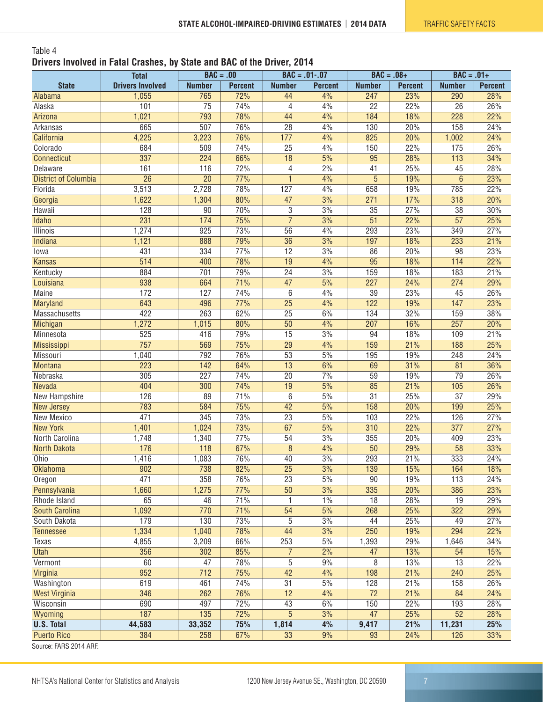#### <span id="page-6-0"></span>Table 4 **Drivers Involved in Fatal Crashes, by State and BAC of the Driver, 2014**

|                                                                                                                   | <b>Total</b>            | $BAC = .00$      |                | $BAC = .01-.07$ |                |                        | $BAC = .08+$   | $BAC = .01+$           |                |
|-------------------------------------------------------------------------------------------------------------------|-------------------------|------------------|----------------|-----------------|----------------|------------------------|----------------|------------------------|----------------|
| <b>State</b>                                                                                                      | <b>Drivers Involved</b> | <b>Number</b>    | <b>Percent</b> | <b>Number</b>   | <b>Percent</b> | <b>Number</b>          | <b>Percent</b> | <b>Number</b>          | <b>Percent</b> |
| Alabama                                                                                                           | 1,055                   | 765              | 72%            | 44              | 4%             | 247                    | 23%            | 290                    | 28%            |
| Alaska                                                                                                            | 101                     | $\overline{75}$  | 74%            | 4               | 4%             | $\overline{22}$        | 22%            | $\overline{26}$        | 26%            |
| Arizona                                                                                                           | 1,021                   | 793              | 78%            | 44              | 4%             | 184                    | 18%            | $\overline{228}$       | 22%            |
| Arkansas                                                                                                          | 665                     | $\overline{507}$ | 76%            | 28              | 4%             | 130                    | 20%            | 158                    | 24%            |
| California                                                                                                        | 4,225                   | 3,223            | 76%            | 177             | 4%             | 825                    | 20%            | 1,002                  | 24%            |
| Colorado                                                                                                          | 684                     | 509              | 74%            | $\overline{25}$ | 4%             | 150                    | 22%            | 175                    | 26%            |
| Connecticut                                                                                                       | 337                     | $\overline{224}$ | 66%            | 18              | 5%             | $\overline{95}$        | 28%            | 113                    | 34%            |
| Delaware                                                                                                          | 161                     | 116              | 72%            | $\overline{4}$  | 2%             | 41                     | 25%            | 45                     | 28%            |
| <b>District of Columbia</b>                                                                                       | $\overline{26}$         | $\overline{20}$  | 77%            | $\mathbf{1}$    | 4%             | $\overline{5}$         | 19%            | $6\phantom{1}6$        | 23%            |
| Florida                                                                                                           | 3,513                   | 2,728            | 78%            | 127             | 4%             | 658                    | 19%            | 785                    | 22%            |
| Georgia                                                                                                           | 1,622                   | 1,304            | 80%            | 47              | 3%             | 271                    | 17%            | 318                    | 20%            |
| Hawaii                                                                                                            | 128                     | 90               | 70%            | 3               | 3%             | 35                     | 27%            | 38                     | 30%            |
| Idaho                                                                                                             | 231                     | 174              | 75%            | $\overline{7}$  | 3%             | $\overline{51}$        | 22%            | $\overline{57}$        | 25%            |
| <b>Illinois</b>                                                                                                   | 1,274                   | 925              | 73%            | $\overline{56}$ | 4%             | 293                    | 23%            | 349                    | 27%            |
| Indiana                                                                                                           | 1,121                   | 888              | 79%            | $\overline{36}$ | 3%             | 197                    | 18%            | 233                    | 21%            |
| lowa                                                                                                              | 431                     | 334              | 77%            | $\overline{12}$ | 3%             | 86                     | 20%            | 98                     | 23%            |
| <b>Kansas</b>                                                                                                     | 514                     | 400              | 78%            | 19              | 4%             | 95                     | 18%            | 114                    | 22%            |
| Kentucky                                                                                                          | 884                     | 701              | 79%            | $\overline{24}$ | 3%             | 159                    | 18%            | 183                    | 21%            |
| Louisiana                                                                                                         | 938                     | 664              | 71%            | $\overline{47}$ | 5%             | 227                    | 24%            | 274                    | 29%            |
| <b>Maine</b>                                                                                                      | 172                     | 127              | 74%            | 6               | 4%             | $\overline{39}$        | 23%            | 45                     | 26%            |
| Maryland                                                                                                          | 643                     | 496              | 77%            | $\overline{25}$ | 4%             | 122                    | 19%            | 147                    | 23%            |
| Massachusetts                                                                                                     | 422                     | 263              | 62%            | $\overline{25}$ | 6%             | 134                    | 32%            | 159                    | 38%            |
| Michigan                                                                                                          | 1,272                   | 1,015            | 80%            | 50              | 4%             | 207                    | 16%            | 257                    | 20%            |
| Minnesota                                                                                                         | 525                     | 416              | 79%            | $\overline{15}$ | 3%             | 94                     | 18%            | 109                    | 21%            |
| Mississippi                                                                                                       | 757                     | 569              | 75%            | $\overline{29}$ | 4%             | 159                    | 21%            | 188                    | 25%            |
| Missouri                                                                                                          | 1,040                   | 792              | 76%            | $\overline{53}$ | 5%             | 195                    | 19%            | 248                    | 24%            |
| Montana                                                                                                           | $\overline{223}$        | 142              | 64%            | 13              | 6%             | 69                     | 31%            | 81                     | 36%            |
| Nebraska                                                                                                          | 305                     | 227              | 74%            | 20              | 7%             | 59                     | 19%            | 79                     | 26%            |
| Nevada                                                                                                            | 404                     | 300              | 74%            | 19              | 5%             | 85                     | 21%            | 105                    | 26%            |
| New Hampshire                                                                                                     | 126                     | 89               | 71%            | 6               | 5%             | $\overline{31}$        | 25%            | $\overline{37}$        | 29%            |
| <b>New Jersey</b>                                                                                                 | 783                     | 584              | 75%            | 42              | 5%             | 158                    | 20%            | 199                    | 25%            |
| New Mexico                                                                                                        | 471                     | 345              | 73%            | 23              | $5\%$          | 103                    | 22%            | 126                    | 27%            |
| <b>New York</b>                                                                                                   | 1,401                   | 1,024            | 73%            | 67              | 5%             | 310                    | 22%            | 377                    | 27%            |
| North Carolina                                                                                                    |                         |                  |                |                 | 3%             |                        |                |                        | 23%            |
|                                                                                                                   | 1,748<br>176            | 1,340            | 77%<br>67%     | 54              |                | 355<br>$\overline{50}$ | 20%            | 409<br>$\overline{58}$ | 33%            |
| <b>North Dakota</b>                                                                                               |                         | 118              |                | $\overline{8}$  | 4%             |                        | 29%            |                        |                |
| Ohio                                                                                                              | 1,416                   | 1,083            | 76%            | 40              | 3%             | 293                    | 21%            | 333                    | 24%            |
| Oklahoma                                                                                                          | 902                     | 738              | 82%            | $\overline{25}$ | 3%             | 139                    | 15%            | 164                    | 18%            |
| Oregon                                                                                                            | 471                     | 358              | 76%            | 23              | 5%             | 90                     | 19%            | 113                    | 24%            |
| Pennsylvania                                                                                                      | 1,660                   | 1,275            | 77%            | 50              | 3%             | 335                    | 20%            | 386                    | 23%            |
| Rhode Island                                                                                                      | 65                      | 46               | 71%            | 1               | 1%             | 18                     | 28%            | 19                     | 29%            |
| <b>South Carolina</b>                                                                                             | 1,092                   | 770              | 71%            | $\overline{54}$ | 5%             | 268                    | 25%            | 322                    | 29%            |
| South Dakota                                                                                                      | 179                     | 130              | 73%            | 5               | 3%             | 44                     | 25%            | 49                     | 27%            |
| <b>Tennessee</b>                                                                                                  | 1,334                   | 1,040            | 78%            | 44              | 3%             | 250                    | 19%            | 294                    | 22%            |
| Texas                                                                                                             | 4,855                   | 3,209            | 66%            | 253             | $5\%$          | 1,393                  | 29%            | 1,646                  | 34%            |
| <b>Utah</b>                                                                                                       | 356                     | 302              | 85%            | $\overline{7}$  | 2%             | 47                     | 13%            | 54                     | 15%            |
| Vermont                                                                                                           | 60                      | 47               | 78%            | 5               | 9%             | 8                      | 13%            | 13                     | 22%            |
| Virginia                                                                                                          | 952                     | 712              | 75%            | 42              | 4%             | 198                    | 21%            | 240                    | 25%            |
| Washington                                                                                                        | 619                     | 461              | 74%            | $\overline{31}$ | $5\%$          | 128                    | 21%            | 158                    | 26%            |
| <b>West Virginia</b>                                                                                              | 346                     | 262              | 76%            | 12              | 4%             | 72                     | 21%            | 84                     | 24%            |
| Wisconsin                                                                                                         | 690                     | 497              | 72%            | 43              | 6%             | 150                    | 22%            | 193                    | 28%            |
| Wyoming                                                                                                           | 187                     | 135              | 72%            | 5               | 3%             | 47                     | 25%            | 52                     | 28%            |
| <b>U.S. Total</b>                                                                                                 | 44,583                  | 33,352           | 75%            | 1,814           | 4%             | 9,417                  | 21%            | 11,231                 | 25%            |
| <b>Puerto Rico</b><br>$C_{\text{out}}$ $\sim$ $C_{\text{A}}$ $D_{\text{C}}$ $D_{\text{A}}$ $A$ $A$ $D_{\text{C}}$ | 384                     | 258              | 67%            | 33              | 9%             | 93                     | 24%            | 126                    | 33%            |

Source: FARS 2014 ARF.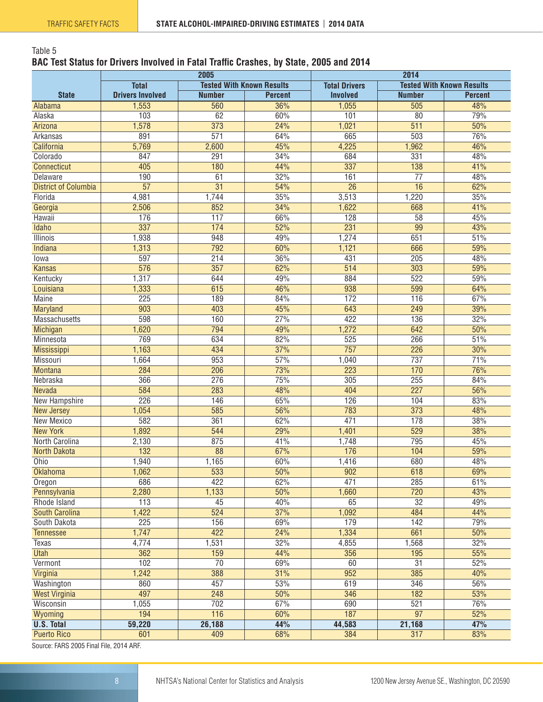#### <span id="page-7-0"></span>Table 5 **BAC Test Status for Drivers Involved in Fatal Traffic Crashes, by State, 2005 and 2014**

|                                                            |                         | 2005                             |                | 2014                 |                  |                                  |  |  |
|------------------------------------------------------------|-------------------------|----------------------------------|----------------|----------------------|------------------|----------------------------------|--|--|
|                                                            | <b>Total</b>            | <b>Tested With Known Results</b> |                | <b>Total Drivers</b> |                  | <b>Tested With Known Results</b> |  |  |
| <b>State</b>                                               | <b>Drivers Involved</b> | <b>Number</b>                    | <b>Percent</b> | <b>Involved</b>      | <b>Number</b>    | <b>Percent</b>                   |  |  |
| Alabama                                                    | 1,553                   | 560                              | 36%            | 1,055                | 505              | 48%                              |  |  |
| Alaska                                                     | 103                     | 62                               | 60%            | 101                  | $\overline{80}$  | 79%                              |  |  |
| Arizona                                                    | 1,578                   | $\overline{373}$                 | 24%            | 1,021                | $\overline{511}$ | 50%                              |  |  |
| Arkansas                                                   | 891                     | 571                              | 64%            | 665                  | 503              | 76%                              |  |  |
| California                                                 | 5,769                   | 2,600                            | 45%            | 4,225                | 1,962            | 46%                              |  |  |
| Colorado                                                   | 847                     | 291                              | 34%            | 684                  | 331              | 48%                              |  |  |
| <b>Connecticut</b>                                         | 405                     | 180                              | 44%            | 337                  | 138              | 41%                              |  |  |
| Delaware                                                   | 190                     | 61                               | 32%            | 161                  | $\overline{77}$  | 48%                              |  |  |
| <b>District of Columbia</b>                                | $\overline{57}$         | $\overline{31}$                  | 54%            | $\overline{26}$      | 16               | 62%                              |  |  |
| Florida                                                    | 4,981                   | 1,744                            | 35%            | 3,513                | 1,220            | 35%                              |  |  |
| Georgia                                                    | 2,506                   | 852                              | 34%            | 1,622                | 668              | 41%                              |  |  |
| Hawaii                                                     | 176                     | 117                              | 66%            | 128                  | $\overline{58}$  | 45%                              |  |  |
| Idaho                                                      | 337                     | 174                              | 52%            | 231                  | 99               | 43%                              |  |  |
| <b>Illinois</b>                                            | 1,938                   | 948                              | 49%            | 1,274                | 651              | 51%                              |  |  |
| Indiana                                                    | 1,313                   | 792                              | 60%            | 1,121                | 666              | 59%                              |  |  |
| lowa                                                       | 597                     | 214                              | 36%            | 431                  | 205              | 48%                              |  |  |
| <b>Kansas</b>                                              | 576                     | 357                              | 62%            | 514                  | 303              | 59%                              |  |  |
| Kentucky                                                   | 1,317                   | 644                              | 49%            | 884                  | 522              | 59%                              |  |  |
| Louisiana                                                  | 1,333                   | 615                              | 46%            | 938                  | 599              | 64%                              |  |  |
| <b>Maine</b>                                               | $\overline{225}$        | 189                              | 84%            | $\overline{172}$     | $\overline{116}$ | 67%                              |  |  |
| Maryland                                                   | $\overline{903}$        | 403                              | 45%            | 643                  | $\overline{249}$ | 39%                              |  |  |
| Massachusetts                                              | 598                     | 160                              | 27%            | 422                  | 136              | 32%                              |  |  |
| Michigan                                                   | 1,620                   | 794                              | 49%            | 1,272                | 642              | 50%                              |  |  |
| Minnesota                                                  | 769                     | 634                              | 82%            | 525                  | 266              | 51%                              |  |  |
| <b>Mississippi</b>                                         | 1,163                   | 434                              | 37%            | 757                  | 226              | 30%                              |  |  |
| Missouri                                                   |                         | 953                              | 57%            |                      | 737              | 71%                              |  |  |
| <b>Montana</b>                                             | 1,664<br>284            | 206                              | 73%            | 1,040<br>223         | 170              | 76%                              |  |  |
|                                                            | 366                     | 276                              | 75%            |                      |                  | 84%                              |  |  |
| Nebraska                                                   | 584                     | 283                              | 48%            | 305<br>404           | 255<br>227       | 56%                              |  |  |
| Nevada                                                     | $\overline{226}$        |                                  | 65%            | 126                  | 104              | 83%                              |  |  |
| New Hampshire                                              |                         | 146                              | 56%            |                      |                  |                                  |  |  |
| <b>New Jersey</b><br><b>New Mexico</b>                     | 1,054                   | 585                              |                | 783                  | $\overline{373}$ | 48%<br>38%                       |  |  |
|                                                            | 582                     | 361                              | 62%            | 471                  | 178              |                                  |  |  |
| <b>New York</b>                                            | 1,892                   | 544                              | 29%            | 1,401                | $\overline{529}$ | 38%                              |  |  |
| North Carolina                                             | 2,130                   | 875                              | 41%            | 1,748                | 795              | 45%                              |  |  |
| <b>North Dakota</b>                                        | 132                     | 88                               | 67%            | 176                  | 104              | 59%                              |  |  |
| Ohio                                                       | 1,940                   | 1,165                            | 60%            | 1,416                | 680              | 48%                              |  |  |
| <b>Oklahoma</b>                                            | 1,062                   | 533                              | 50%            | 902                  | 618              | 69%                              |  |  |
| Oregon                                                     | 686                     | 422                              | 62%            | 471                  | 285              | 61%                              |  |  |
| Pennsylvania                                               | 2,280                   | 1,133                            | 50%            | 1,660                | 720              | 43%                              |  |  |
| Rhode Island                                               | 113                     | 45                               | 40%            | 65                   | $\overline{32}$  | 49%                              |  |  |
| South Carolina                                             | 1,422                   | 524                              | 37%            | 1,092                | 484              | 44%                              |  |  |
| South Dakota                                               | $\overline{225}$        | 156                              | 69%            | 179                  | 142              | 79%                              |  |  |
| <b>Tennessee</b>                                           | 1,747                   | 422                              | 24%            | 1,334                | 661              | 50%                              |  |  |
| <b>Texas</b>                                               | 4,774                   | 1,531                            | 32%            | 4,855                | 1,568            | 32%                              |  |  |
| <b>Utah</b>                                                | 362                     | 159                              | 44%            | 356                  | 195              | 55%                              |  |  |
| Vermont                                                    | 102                     | $\overline{70}$                  | 69%            | 60                   | $\overline{31}$  | 52%                              |  |  |
| Virginia                                                   | 1,242                   | 388                              | 31%            | 952                  | 385              | 40%                              |  |  |
| Washington                                                 | 860                     | 457                              | 53%            | 619                  | 346              | 56%                              |  |  |
| <b>West Virginia</b>                                       | 497                     | 248                              | 50%            | 346                  | 182              | 53%                              |  |  |
| Wisconsin                                                  | 1,055                   | 702                              | 67%            | 690                  | 521              | 76%                              |  |  |
| Wyoming                                                    | 194                     | 116                              | 60%            | 187                  | $\overline{97}$  | 52%                              |  |  |
| <b>U.S. Total</b>                                          | 59,220                  | 26,188                           | 44%            | 44,583               | 21,168           | 47%                              |  |  |
| <b>Puerto Rico</b><br>Course FADO 0005 Final File 0014 ADE | 601                     | 409                              | 68%            | 384                  | 317              | 83%                              |  |  |

Source: FARS 2005 Final File, 2014 ARF.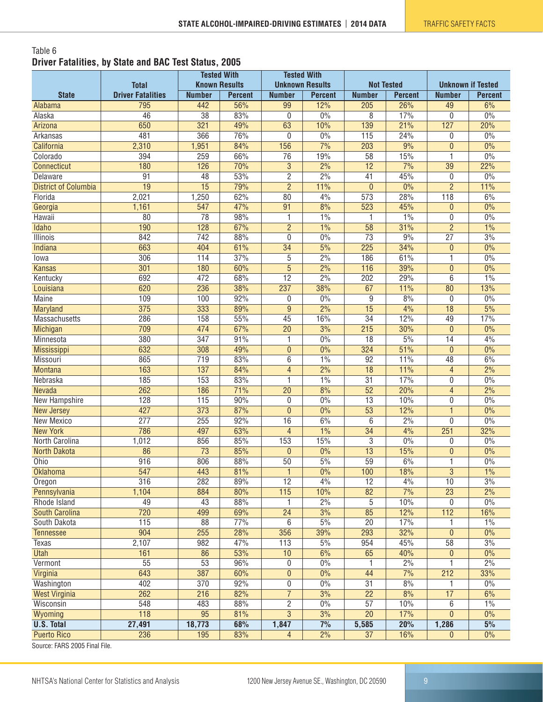#### <span id="page-8-0"></span>Table 6 **Driver Fatalities, by State and BAC Test Status, 2005**

|                             |                          | <b>Tested With</b>   |                | <b>Tested With</b> |                        |                  |                   |                          |                  |
|-----------------------------|--------------------------|----------------------|----------------|--------------------|------------------------|------------------|-------------------|--------------------------|------------------|
|                             | <b>Total</b>             | <b>Known Results</b> |                |                    | <b>Unknown Results</b> |                  | <b>Not Tested</b> | <b>Unknown if Tested</b> |                  |
| <b>State</b>                | <b>Driver Fatalities</b> | <b>Number</b>        | <b>Percent</b> | <b>Number</b>      | <b>Percent</b>         | <b>Number</b>    | <b>Percent</b>    | <b>Number</b>            | <b>Percent</b>   |
| Alabama                     | 795                      | 442                  | 56%            | 99                 | 12%                    | 205              | 26%               | 49                       | 6%               |
| Alaska                      | 46                       | 38                   | 83%            | 0                  | 0%                     | 8                | 17%               | $\theta$                 | 0%               |
| Arizona                     | 650                      | 321                  | 49%            | 63                 | 10%                    | 139              | 21%               | 127                      | 20%              |
| Arkansas                    | 481                      | 366                  | 76%            | 0                  | $0\%$                  | 115              | 24%               | 0                        | 0%               |
| California                  | 2,310                    | 1,951                | 84%            | 156                | 7%                     | $\overline{203}$ | 9%                | $\theta$                 | 0%               |
| Colorado                    | 394                      | 259                  | 66%            | $\overline{76}$    | 19%                    | 58               | 15%               | $\mathbf{1}$             | 0%               |
| Connecticut                 | 180                      | 126                  | 70%            | $\overline{3}$     | 2%                     | $\overline{12}$  | 7%                | $\overline{39}$          | 22%              |
| Delaware                    | $\overline{91}$          | 48                   | 53%            | $\overline{2}$     | 2%                     | 41               | 45%               | 0                        | 0%               |
| <b>District of Columbia</b> | $\overline{19}$          | $\overline{15}$      | 79%            | $\overline{2}$     | 11%                    | $\overline{0}$   | 0%                | $\overline{2}$           | 11%              |
| Florida                     | 2,021                    | 1,250                | 62%            | 80                 | 4%                     | 573              | 28%               | 118                      | 6%               |
| Georgia                     | 1,161                    | 547                  | 47%            | $\overline{91}$    | 8%                     | 523              | 45%               | $\overline{0}$           | 0%               |
| Hawaii                      | $\overline{80}$          | 78                   | 98%            | 1                  | 1%                     | 1                | 1%                | $\mathbf{0}$             | 0%               |
| Idaho                       | 190                      | 128                  | 67%            | $\overline{2}$     | 1%                     | $\overline{58}$  | 31%               | $\overline{2}$           | 1%               |
| Illinois                    | 842                      | 742                  | 88%            | 0                  | 0%                     | $\overline{73}$  | 9%                | $\overline{27}$          | 3%               |
| <b>Indiana</b>              | 663                      | 404                  | 61%            | $\overline{34}$    | 5%                     | 225              | 34%               | $\theta$                 | $0\%$            |
| lowa                        | 306                      | 114                  | 37%            | 5                  | 2%                     | 186              | 61%               | $\mathbf{1}$             | 0%               |
| <b>Kansas</b>               | 301                      | 180                  | 60%            | $\overline{5}$     | 2%                     | 116              | 39%               | $\theta$                 | 0%               |
| Kentucky                    | 692                      | 472                  | 68%            | $\overline{12}$    | 2%                     | $\overline{202}$ | 29%               | 6                        | 1%               |
| Louisiana                   | 620                      | 236                  | 38%            | 237                | 38%                    | 67               | 11%               | 80                       | 13%              |
| <b>Maine</b>                | 109                      | 100                  | 92%            | 0                  | 0%                     | 9                | 8%                | $\mathbf 0$              | 0%               |
| Maryland                    | $\overline{375}$         | 333                  | 89%            | $\overline{9}$     | 2%                     | $\overline{15}$  | 4%                | $\overline{18}$          | 5%               |
| Massachusetts               | 286                      | 158                  | 55%            | $\overline{45}$    | 16%                    | $\overline{34}$  | 12%               | 49                       | 17%              |
| Michigan                    | 709                      | 474                  | 67%            | $\overline{20}$    | 3%                     | 215              | 30%               | $\mathbf{0}$             | 0%               |
| Minnesota                   | 380                      | $\overline{347}$     | 91%            | 1                  | 0%                     | $\overline{18}$  | 5%                | $\overline{14}$          | 4%               |
| <b>Mississippi</b>          | 632                      | 308                  | 49%            | $\pmb{0}$          | 0%                     | 324              | 51%               | $\theta$                 | 0%               |
| Missouri                    | 865                      | 719                  | 83%            | 6                  | 1%                     | $\overline{92}$  | 11%               | 48                       | 6%               |
| <b>Montana</b>              | 163                      | 137                  | 84%            | $\overline{4}$     | 2%                     | $\overline{18}$  | 11%               | $\overline{4}$           | 2%               |
| Nebraska                    | 185                      | 153                  | 83%            | 1                  | 1%                     | $\overline{31}$  | 17%               | $\mathbf{0}$             | 0%               |
| Nevada                      | 262                      | 186                  | 71%            | $\overline{20}$    | 8%                     | $\overline{52}$  | 20%               | $\overline{4}$           | $\frac{2\%}{\ }$ |
| New Hampshire               | 128                      | 115                  | 90%            | 0                  | $0\%$                  | 13               | 10%               | $\mathbf 0$              | 0%               |
| <b>New Jersey</b>           | 427                      | 373                  | 87%            | $\mathbf{0}$       | $0\%$                  | $\overline{53}$  | 12%               | $\mathbf{1}$             | 0%               |
| New Mexico                  | $\overline{277}$         | 255                  | 92%            | 16                 | 6%                     | 6                | 2%                | $\mathbf{0}$             | 0%               |
| <b>New York</b>             | 786                      | 497                  | 63%            | $\overline{4}$     | 1%                     | 34               | 4%                | 251                      | 32%              |
| North Carolina              | 1,012                    | 856                  | 85%            | 153                | 15%                    | 3                | 0%                | 0                        | 0%               |
| <b>North Dakota</b>         | $\overline{86}$          | $\overline{73}$      | 85%            | $\overline{0}$     | 0%                     | 13               | 15%               | $\mathbf{0}$             | 0%               |
| Ohio                        | 916                      | 806                  | 88%            | $\overline{50}$    | 5%                     | 59               | 6%                | $\mathbf{1}$             | 0%               |
| <b>Oklahoma</b>             | 547                      | 443                  | 81%            |                    | 0%                     | 100              | 18%               | $\mathbf{3}$             | 1%               |
| Oregon                      | 316                      | 282                  | 89%            | 12                 | 4%                     | $\overline{12}$  | 4%                | 10                       | 3%               |
| Pennsylvania                | 1,104                    | 884                  | 80%            | $\overline{115}$   | 10%                    | 82               | 7%                | $\overline{23}$          | 2%               |
| Rhode Island                | 49                       | 43                   | 88%            | 1                  | 2%                     | 5                | 10%               | 0                        | 0%               |
| <b>South Carolina</b>       | 720                      | 499                  | 69%            | $\overline{24}$    | 3%                     | 85               | 12%               | 112                      | 16%              |
| South Dakota                | 115                      | 88                   | 77%            | 6                  | 5%                     | $\overline{20}$  | 17%               | 1                        | 1%               |
| <b>Tennessee</b>            | 904                      | 255                  | 28%            | 356                | 39%                    | 293              | 32%               | $\theta$                 | $0\%$            |
| <b>Texas</b>                | 2,107                    | 982                  | 47%            | 113                | 5%                     | 954              | 45%               | 58                       | 3%               |
| <b>Utah</b>                 | 161                      | 86                   | 53%            | 10                 | 6%                     | 65               | 40%               | $\bf{0}$                 | $0\%$            |
| Vermont                     | $\overline{55}$          | 53                   | 96%            | 0                  | 0%                     |                  | 2%                | 1                        | 2%               |
| Virginia                    | 643                      | 387                  | 60%            | $\boldsymbol{0}$   | $0\%$                  | 44               | 7%                | $\overline{212}$         | 33%              |
| Washington                  | 402                      | 370                  | 92%            | 0                  | $0\%$                  | 31               | 8%                | 1                        | $0\%$            |
| <b>West Virginia</b>        | 262                      | 216                  | 82%            | $\overline{7}$     | 3%                     | $\overline{22}$  | 8%                | 17                       | 6%               |
| Wisconsin                   | 548                      | 483                  | 88%            | $\overline{c}$     | $0\%$                  | 57               | 10%               | 6                        | 1%               |
| Wyoming                     | 118                      | $\overline{95}$      | 81%            | $\overline{3}$     | 3%                     | $\overline{20}$  | 17%               | $\mathbf{0}$             | $0\%$            |
| <b>U.S. Total</b>           | 27,491                   | 18,773               | 68%            | 1,847              | 7%                     | 5,585            | 20%               | 1,286                    | 5%               |
| <b>Puerto Rico</b>          | 236                      | 195                  | 83%            | $\overline{4}$     | $2\%$                  | $\overline{37}$  | 16%               | $\mathbf{0}$             | $0\%$            |
| 0.0005E                     |                          |                      |                |                    |                        |                  |                   |                          |                  |

Source: FARS 2005 Final File.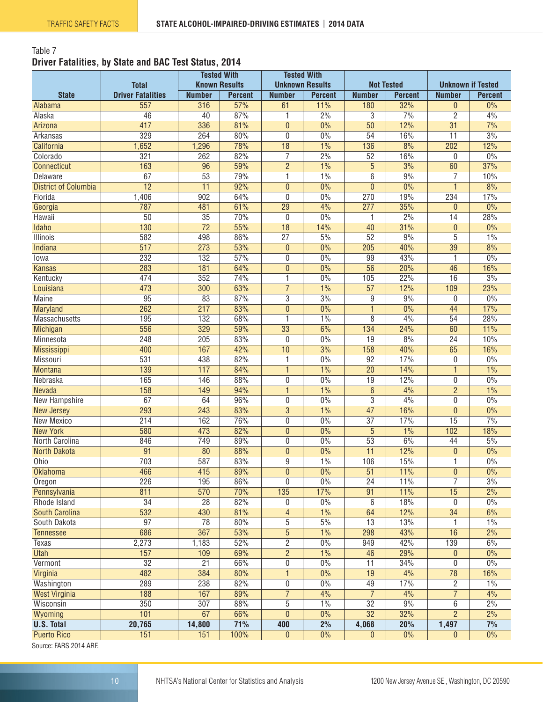#### <span id="page-9-0"></span>Table 7 **Driver Fatalities, by State and BAC Test Status, 2014**

|                                   |                                 | <b>Tested With</b>   |                       | <b>Tested With</b><br><b>Unknown Results</b> |                       |                      |                       |                                 |                      |
|-----------------------------------|---------------------------------|----------------------|-----------------------|----------------------------------------------|-----------------------|----------------------|-----------------------|---------------------------------|----------------------|
|                                   | <b>Total</b>                    | <b>Known Results</b> |                       |                                              |                       | <b>Not Tested</b>    |                       | <b>Unknown if Tested</b>        |                      |
| <b>State</b>                      | <b>Driver Fatalities</b><br>557 | <b>Number</b><br>316 | <b>Percent</b><br>57% | <b>Number</b><br>61                          | <b>Percent</b><br>11% | <b>Number</b><br>180 | <b>Percent</b><br>32% | <b>Number</b><br>$\overline{0}$ | <b>Percent</b><br>0% |
| Alabama<br>Alaska                 | 46                              | 40                   | 87%                   | 1                                            | 2%                    | 3                    | 7%                    | $\overline{c}$                  | 4%                   |
| Arizona                           | 417                             | 336                  | 81%                   | $\mathbf{0}$                                 | 0%                    | $\overline{50}$      | 12%                   | $\overline{31}$                 | 7%                   |
| Arkansas                          | 329                             | 264                  | 80%                   | $\mathbf{0}$                                 | 0%                    | 54                   | 16%                   | $\overline{11}$                 | 3%                   |
| California                        | 1,652                           | 1,296                | 78%                   | 18                                           | 1%                    | 136                  | 8%                    | 202                             | 12%                  |
| Colorado                          | 321                             | 262                  | 82%                   | 7                                            | 2%                    | 52                   | 16%                   | 0                               | 0%                   |
| <b>Connecticut</b>                | 163                             | 96                   | 59%                   | $\overline{2}$                               | 1%                    | $\overline{5}$       | 3%                    | 60                              | 37%                  |
| Delaware                          | 67                              | $\overline{53}$      | 79%                   | 1                                            | 1%                    | $\overline{6}$       | 9%                    | $\overline{7}$                  | 10%                  |
| <b>District of Columbia</b>       | $\overline{12}$                 | $\overline{11}$      | 92%                   | $\mathbf{0}$                                 | 0%                    | $\overline{0}$       | 0%                    | $\mathbf{1}$                    | 8%                   |
| Florida                           | 1,406                           | $\overline{902}$     | 64%                   | 0                                            | 0%                    | 270                  | 19%                   | 234                             | 17%                  |
| Georgia                           | 787                             | 481                  | 61%                   | $\overline{29}$                              | 4%                    | 277                  | 35%                   | $\overline{0}$                  | 0%                   |
| Hawaii                            | $\overline{50}$                 | $\overline{35}$      | 70%                   | 0                                            | 0%                    | 1                    | 2%                    | $\overline{14}$                 | 28%                  |
| Idaho                             | 130                             | $\overline{72}$      | 55%                   | 18                                           | 14%                   | 40                   | 31%                   | $\mathbf{0}$                    | 0%                   |
| Illinois                          | 582                             | 498                  | 86%                   | $\overline{27}$                              | 5%                    | $\overline{52}$      | 9%                    | 5                               | 1%                   |
| <b>Indiana</b>                    | 517                             | 273                  | 53%                   | $\mathbf{0}$                                 | 0%                    | 205                  | 40%                   | 39                              | 8%                   |
| lowa                              | 232                             | 132                  | 57%                   | 0                                            | 0%                    | 99                   | 43%                   | 1                               | 0%                   |
| <b>Kansas</b>                     | 283                             | 181                  | 64%                   | $\overline{0}$                               | $0\%$                 | $\overline{56}$      | 20%                   | 46                              | 16%                  |
| Kentucky                          | 474                             | 352                  | 74%                   | 1                                            | 0%                    | 105                  | 22%                   | $\overline{16}$                 | 3%                   |
| Louisiana                         | 473                             | 300                  | 63%                   | $\overline{7}$                               | $1\%$                 | $\overline{57}$      | 12%                   | 109                             | 23%                  |
| <b>Maine</b>                      | $\overline{95}$                 | $\overline{83}$      | 87%                   | $\overline{3}$                               | 3%                    | $\overline{9}$       | 9%                    | 0                               | 0%                   |
| Maryland                          | 262                             | $\overline{217}$     | 83%                   | $\mathbf{0}$                                 | 0%                    | $\overline{1}$       | 0%                    | 44                              | 17%                  |
| Massachusetts                     | 195                             | 132                  | 68%                   | 1                                            | 1%                    | $\overline{8}$       | 4%                    | 54                              | 28%                  |
| Michigan                          | 556                             | 329                  | 59%                   | 33                                           | 6%                    | 134                  | 24%                   | 60                              | 11%                  |
| Minnesota                         | 248                             | 205                  | 83%                   | $\mathbf{0}$                                 | 0%                    | $\overline{19}$      | 8%                    | $\overline{24}$                 | 10%                  |
| <b>Mississippi</b>                | 400                             | 167                  | 42%                   | 10                                           | 3%                    | 158                  | 40%                   | 65                              | 16%                  |
| Missouri                          | 531                             | 438                  | 82%                   | 1                                            | 0%                    | 92                   | 17%                   | 0                               | 0%                   |
| <b>Montana</b>                    | 139                             | 117                  | 84%                   | 1                                            | 1%                    | $\overline{20}$      | 14%                   | 1                               | 1%                   |
| Nebraska                          | 165                             | 146                  | 88%                   | 0                                            | 0%                    | $\overline{19}$      | 12%                   | $\overline{0}$                  | 0%                   |
| Nevada                            | 158                             | 149                  | 94%                   | $\mathbf{1}$                                 | 1%                    | 6                    | 4%                    | $\overline{2}$                  | 1%                   |
| New Hampshire                     | 67                              | 64                   | 96%                   | 0                                            | 0%                    | 3                    | 4%                    | $\pmb{0}$                       | 0%                   |
| <b>New Jersey</b>                 | 293                             | 243                  | 83%                   | $\overline{3}$                               | 1%                    | 47                   | 16%                   | $\overline{0}$                  | 0%                   |
| New Mexico                        | 214                             | 162                  | 76%                   | 0                                            | 0%                    | $\overline{37}$      | 17%                   | 15                              | 7%                   |
| <b>New York</b>                   | 580                             | 473                  | 82%                   | $\mathbf{0}$                                 | $\overline{0\%}$      | $\overline{5}$       | 1%                    | 102                             | 18%                  |
| North Carolina                    | 846                             | 749                  | 89%                   | 0                                            | 0%                    | $\overline{53}$      | 6%                    | 44                              | 5%                   |
| <b>North Dakota</b>               | $\overline{91}$                 | 80                   | 88%                   | $\overline{0}$                               | 0%                    | $\overline{11}$      | 12%                   | 0                               | 0%                   |
| Ohio                              | 703                             | 587                  | 83%                   | 9                                            | 1%                    | 106                  | 15%                   | 1                               | 0%                   |
| <b>Oklahoma</b>                   | 466                             | 415                  | 89%                   | $\pmb{0}$                                    | $0\%$                 | $\overline{51}$      | 11%                   | $\pmb{0}$                       | $0\%$                |
| Oregon                            | 226                             | 195                  | 86%                   | 0                                            | 0%                    | $\overline{24}$      | 11%                   | 7                               | 3%                   |
| Pennsylvania                      | 811                             | 570                  | 70%                   | 135                                          | 17%                   | 91                   | 11%                   | 15                              | 2%                   |
| Rhode Island                      | $\overline{34}$                 | $\overline{28}$      | 82%                   | 0                                            | $0\%$                 | 6                    | 18%                   | 0                               | $0\%$                |
| <b>South Carolina</b>             | 532                             | 430                  | 81%                   | $\overline{4}$                               | 1%                    | 64                   | 12%                   | $\overline{34}$                 | 6%                   |
| South Dakota                      | $\overline{97}$                 | $\overline{78}$      | 80%                   | 5                                            | 5%                    | $\overline{13}$      | 13%                   | 1                               | 1%                   |
| <b>Tennessee</b>                  | 686                             | 367                  | 53%                   | $\overline{5}$                               | $1\%$                 | 298                  | 43%                   | 16                              | 2%                   |
| Texas                             | 2,273                           | 1,183                | 52%                   | $\overline{2}$                               | 0%                    | 949                  | 42%                   | 139                             | 6%                   |
| <b>Utah</b>                       | 157                             | 109                  | 69%                   | $\overline{2}$                               | 1%                    | 46                   | 29%                   | $\pmb{0}$                       | 0%                   |
| Vermont                           | $\overline{32}$<br>482          | $\overline{21}$      | 66%                   | $\overline{0}$                               | 0%                    | $\overline{11}$      | 34%<br>4%             | 0                               | $0\%$                |
| Virginia                          |                                 | 384                  | 80%                   | $\mathbf{1}$                                 | $0\%$                 | 19                   |                       | 78                              | 16%                  |
| Washington                        | 289                             | 238                  | 82%                   | 0                                            | 0%                    | 49<br>$\overline{7}$ | 17%                   | $\overline{c}$                  | 1%                   |
| <b>West Virginia</b><br>Wisconsin | 188<br>350                      | 167<br>307           | 89%<br>88%            | $\overline{7}$<br>5                          | 4%<br>1%              | $\overline{32}$      | 4%<br>9%              | $\overline{7}$                  | 4%<br>2%             |
|                                   | 101                             | 67                   | 66%                   | $\overline{0}$                               | $0\%$                 | $\overline{32}$      | 32%                   | 6<br>$\overline{2}$             | 2%                   |
| Wyoming<br><b>U.S. Total</b>      | 20,765                          | 14,800               | 71%                   | 400                                          | 2%                    | 4,068                | 20%                   | 1,497                           | 7%                   |
| <b>Puerto Rico</b>                | 151                             | 151                  | 100%                  | $\theta$                                     | $0\%$                 | $\overline{0}$       | $0\%$                 | $\bf{0}$                        | $0\%$                |
| $C0$ urea: $FADC-0014ABF$         |                                 |                      |                       |                                              |                       |                      |                       |                                 |                      |

Source: FARS 2014 ARF.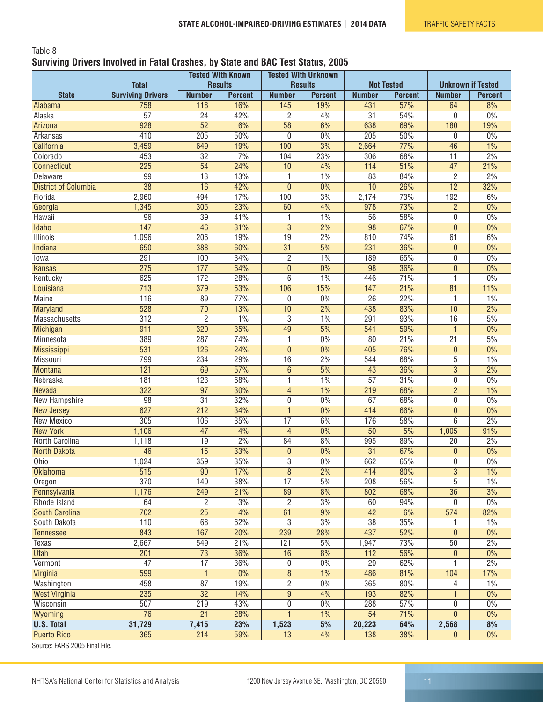#### <span id="page-10-0"></span>Table 8 **Surviving Drivers Involved in Fatal Crashes, by State and BAC Test Status, 2005**

|                              | <b>Total</b>             | <b>Tested With Known</b><br><b>Results</b> |                               | <b>Tested With Unknown</b><br><b>Results</b> |                  | <b>Not Tested</b> |                | <b>Unknown if Tested</b> |                |
|------------------------------|--------------------------|--------------------------------------------|-------------------------------|----------------------------------------------|------------------|-------------------|----------------|--------------------------|----------------|
| <b>State</b>                 | <b>Surviving Drivers</b> | <b>Number</b>                              | <b>Percent</b>                | <b>Number</b>                                | <b>Percent</b>   | <b>Number</b>     | <b>Percent</b> | <b>Number</b>            | <b>Percent</b> |
| Alabama                      | 758                      | 118                                        | 16%                           | 145                                          | 19%              | 431               | 57%            | 64                       | 8%             |
| Alaska                       | $\overline{57}$          | 24                                         | 42%                           | 2                                            | 4%               | 31                | 54%            | 0                        | 0%             |
| Arizona                      | $\overline{928}$         | $\overline{52}$                            | 6%                            | $\overline{58}$                              | 6%               | 638               | 69%            | 180                      | 19%            |
| Arkansas                     | 410                      | 205                                        | 50%                           | 0                                            | 0%               | 205               | 50%            | 0                        | 0%             |
| California                   | 3,459                    | 649                                        | 19%                           | 100                                          | 3%               | 2,664             | 77%            | 46                       | 1%             |
| Colorado                     | 453                      | $\overline{32}$                            | 7%                            | 104                                          | 23%              | 306               | 68%            | $\overline{11}$          | 2%             |
| <b>Connecticut</b>           | 225                      | 54                                         | 24%                           | 10                                           | 4%               | 114               | 51%            | 47                       | 21%            |
| Delaware                     | 99                       | $\overline{13}$                            | 13%                           | 1                                            | 1%               | 83                | 84%            | $\overline{2}$           | 2%             |
| <b>District of Columbia</b>  | $\overline{38}$          | $\overline{16}$                            | 42%                           | $\overline{0}$                               | 0%               | 10                | 26%            | $\overline{12}$          | 32%            |
| Florida                      | 2,960                    | 494                                        | 17%                           | 100                                          | 3%               | 2,174             | 73%            | 192                      | 6%             |
| Georgia                      | 1,345                    | 305                                        | 23%                           | 60                                           | 4%               | 978               | 73%            | $\overline{2}$           | 0%             |
| Hawaii                       | 96                       | $\overline{39}$                            | 41%                           | 1                                            | 1%               | $\overline{56}$   | 58%            | 0                        | 0%             |
| Idaho                        | 147                      | 46                                         | 31%                           | $\overline{3}$                               | $\frac{2\%}{\ }$ | 98                | 67%            | $\mathbf{0}$             | 0%             |
| Illinois                     | 1,096                    | 206                                        | 19%                           | $\overline{19}$                              | 2%               | 810               | 74%            | 61                       | 6%             |
| <b>Indiana</b>               | 650                      | 388                                        | 60%                           | $\overline{31}$                              | 5%               | 231               | 36%            | 0                        | 0%             |
| lowa                         | 291                      | 100                                        | 34%                           | $\overline{c}$                               | 1%               | 189               | 65%            | 0                        | 0%             |
| <b>Kansas</b>                | 275                      | 177                                        | 64%                           | $\pmb{0}$                                    | $0\%$            | 98                | 36%            | $\pmb{0}$                | 0%             |
| Kentucky                     | 625                      | $\overline{172}$                           | 28%                           | $\overline{6}$                               | 1%               | 446               | 71%            | 1                        | 0%             |
| Louisiana                    | $\overline{713}$         | $\overline{379}$                           | 53%                           | 106                                          | 15%              | 147               | 21%            | $\overline{81}$          | 11%            |
| <b>Maine</b>                 | 116                      | $\overline{89}$                            | 77%                           | 0                                            | 0%               | $\overline{26}$   | 22%            | 1                        | 1%             |
| Maryland                     | $\overline{528}$         | $\overline{70}$                            | 13%                           | 10                                           | $\frac{2\%}{\ }$ | 438               | 83%            | 10                       | 2%             |
| Massachusetts                | $\overline{312}$         | $\overline{2}$                             | 1%                            | $\overline{3}$                               | 1%               | 291               | 93%            | 16                       | 5%             |
| Michigan                     | 911                      | 320                                        | 35%                           | 49                                           | 5%               | 541               | 59%            | $\mathbf{1}$             | 0%             |
| Minnesota                    | 389                      | 287                                        | 74%                           | 1                                            | 0%               | 80                | 21%            | $\overline{21}$          | 5%             |
| <b>Mississippi</b>           | 531                      | 126                                        | 24%                           | $\overline{0}$                               | 0%               | 405               | 76%            | $\pmb{0}$                | 0%             |
| Missouri                     | 799                      | 234                                        | 29%                           | 16                                           | 2%               | 544               | 68%            | 5                        | 1%             |
| <b>Montana</b>               | 121                      | 69                                         | 57%                           | $6\phantom{.}$                               | 5%               | 43                | 36%            | $\overline{3}$           | 2%             |
| Nebraska                     | 181                      | $\overline{123}$                           | 68%                           | 1                                            | 1%               | $\overline{57}$   | 31%            | $\overline{0}$           | 0%             |
| <b>Nevada</b>                | 322                      | $\overline{97}$                            | 30%                           | $\overline{4}$                               | 1%               | 219               | 68%            | $\overline{2}$           | 1%             |
| New Hampshire                | 98                       | $\overline{31}$                            | 32%                           | 0                                            | 0%               | 67                | 68%            | 0                        | 0%             |
| <b>New Jersey</b>            | 627                      | 212                                        | 34%                           | $\overline{1}$                               | $0\%$            | 414               | 66%            | $\overline{0}$           | 0%             |
| New Mexico                   | 305                      | 106                                        | 35%                           | $\overline{17}$                              | 6%               | 176               | 58%            | 6                        | 2%             |
| <b>New York</b>              | 1,106                    | $\overline{47}$                            | 4%                            | $\overline{4}$                               | $\overline{0\%}$ | $\overline{50}$   | 5%             | 1,005                    | 91%            |
| North Carolina               | 1,118                    | 19                                         | $\frac{2\%}{\frac{2\%}{2\%}}$ | 84                                           | 8%               | 995               | 89%            | 20                       | 2%             |
| <b>North Dakota</b>          | $\overline{46}$          | $\overline{15}$                            | 33%                           | 0                                            | 0%               | $\overline{31}$   | 67%            | 0                        | 0%             |
| Ohio                         | 1,024                    | 359                                        | 35%                           | $\overline{3}$                               | 0%               | 662               | 65%            | 0                        | 0%             |
| <b>Oklahoma</b>              | 515                      | 90                                         | 17%                           | 8                                            | 2%               | 414               | 80%            | $\mathbf{3}$             | 1%             |
| Oregon                       | 370                      | 140                                        | 38%                           | 17                                           | 5%               | 208               | 56%<br>68%     | $\overline{5}$           | 1%             |
| Pennsylvania<br>Rhode Island | 1,176<br>64              | 249<br>$\overline{c}$                      | 21%                           | 89<br>$\overline{c}$                         | 8%<br>3%         | 802               | 94%            | 36                       | 3%<br>0%       |
| <b>South Carolina</b>        | 702                      | $\overline{25}$                            | 3%<br>4%                      | 61                                           | 9%               | 60<br>42          | 6%             | 0<br>574                 | 82%            |
| South Dakota                 | 110                      | 68                                         | 62%                           | $\overline{3}$                               | 3%               | $\overline{38}$   | 35%            | 1                        | $1\%$          |
| <b>Tennessee</b>             | 843                      | 167                                        | 20%                           | 239                                          | 28%              | 437               | 52%            | $\pmb{0}$                | 0%             |
| Texas                        | 2,667                    | 549                                        | 21%                           | 121                                          | 5%               | 1,947             | 73%            | 50                       | 2%             |
| <b>Utah</b>                  | 201                      | $\overline{73}$                            | 36%                           | 16                                           | 8%               | 112               | 56%            | $\pmb{0}$                | $0\%$          |
| Vermont                      | $\overline{47}$          | $\overline{17}$                            | 36%                           | $\overline{0}$                               | 0%               | $\overline{29}$   | 62%            | 1                        | 2%             |
| Virginia                     | 599                      | $\mathbf{1}$                               | $0\%$                         | $\bf 8$                                      | 1%               | 486               | 81%            | 104                      | 17%            |
| Washington                   | 458                      | 87                                         | 19%                           | $\overline{2}$                               | $0\%$            | 365               | 80%            | 4                        | 1%             |
| <b>West Virginia</b>         | 235                      | $\overline{32}$                            | 14%                           | $\overline{9}$                               | 4%               | 193               | 82%            | 1.                       | $0\%$          |
| Wisconsin                    | 507                      | 219                                        | 43%                           | 0                                            | $0\%$            | 288               | 57%            | 0                        | $0\%$          |
| Wyoming                      | $\overline{76}$          | 21                                         | 28%                           | 1                                            | $1\%$            | 54                | 71%            | $\overline{0}$           | 0%             |
| <b>U.S. Total</b>            | 31,729                   | 7,415                                      | 23%                           | 1,523                                        | 5%               | 20,223            | 64%            | 2,568                    | 8%             |
| <b>Puerto Rico</b>           | 365                      | 214                                        | 59%                           | 13                                           | 4%               | 138               | 38%            | $\mathbf{0}$             | $0\%$          |
| Course: EADC 2005 Final File |                          |                                            |                               |                                              |                  |                   |                |                          |                |

Source: FARS 2005 Final File.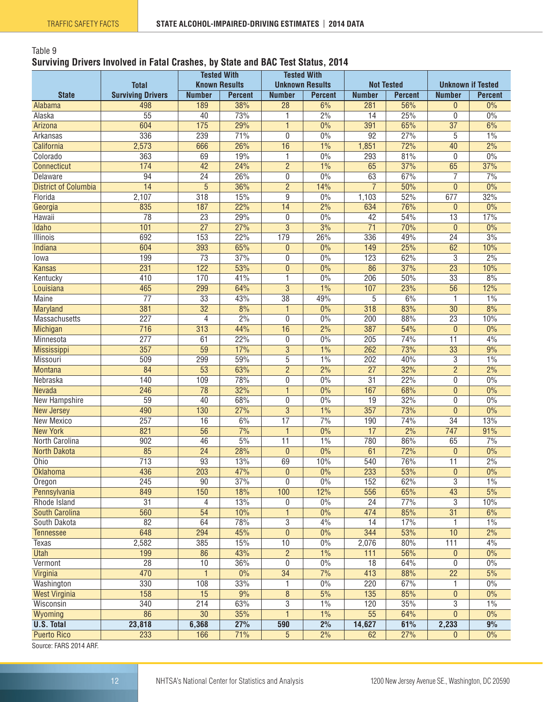#### <span id="page-11-0"></span>Table 9 **Surviving Drivers Involved in Fatal Crashes, by State and BAC Test Status, 2014**

| <b>Known Results</b><br><b>Unknown Results</b><br><b>Total</b><br><b>Not Tested</b><br><b>Unknown if Tested</b><br><b>State</b><br><b>Surviving Drivers</b><br><b>Number</b><br><b>Percent</b><br><b>Number</b><br><b>Percent</b><br><b>Number</b><br><b>Number</b><br><b>Percent</b><br>498<br>189<br>38%<br>$\overline{28}$<br>6%<br>56%<br>281<br>$\overline{0}$<br>Alabama<br>$\overline{55}$<br>73%<br>2%<br>25%<br>0<br>Alaska<br>40<br>1<br>14<br>604<br>$\overline{175}$<br>29%<br>0%<br>65%<br>$\overline{37}$<br>391<br>$\mathbf{1}$<br>Arizona<br>336<br>239<br>71%<br>0%<br>$\overline{92}$<br>27%<br>Arkansas<br>0<br>5<br>26%<br>1%<br>72%<br>2,573<br>16<br>40<br>California<br>666<br>1,851<br>363<br>0%<br>69<br>19%<br>293<br>81%<br>$\mathbf 0$<br>Colorado<br>1<br>174<br>42<br>24%<br>$\overline{2}$<br>1%<br>37%<br>65<br>65<br><b>Connecticut</b> | <b>Percent</b><br>0%<br>0%<br>6%<br>1%<br>2%<br>0%<br>37%<br>7%<br>0%<br>32%<br>0% |
|--------------------------------------------------------------------------------------------------------------------------------------------------------------------------------------------------------------------------------------------------------------------------------------------------------------------------------------------------------------------------------------------------------------------------------------------------------------------------------------------------------------------------------------------------------------------------------------------------------------------------------------------------------------------------------------------------------------------------------------------------------------------------------------------------------------------------------------------------------------------------|------------------------------------------------------------------------------------|
|                                                                                                                                                                                                                                                                                                                                                                                                                                                                                                                                                                                                                                                                                                                                                                                                                                                                          |                                                                                    |
|                                                                                                                                                                                                                                                                                                                                                                                                                                                                                                                                                                                                                                                                                                                                                                                                                                                                          |                                                                                    |
|                                                                                                                                                                                                                                                                                                                                                                                                                                                                                                                                                                                                                                                                                                                                                                                                                                                                          |                                                                                    |
|                                                                                                                                                                                                                                                                                                                                                                                                                                                                                                                                                                                                                                                                                                                                                                                                                                                                          |                                                                                    |
|                                                                                                                                                                                                                                                                                                                                                                                                                                                                                                                                                                                                                                                                                                                                                                                                                                                                          |                                                                                    |
|                                                                                                                                                                                                                                                                                                                                                                                                                                                                                                                                                                                                                                                                                                                                                                                                                                                                          |                                                                                    |
|                                                                                                                                                                                                                                                                                                                                                                                                                                                                                                                                                                                                                                                                                                                                                                                                                                                                          |                                                                                    |
|                                                                                                                                                                                                                                                                                                                                                                                                                                                                                                                                                                                                                                                                                                                                                                                                                                                                          |                                                                                    |
| 0%<br>67%<br>7<br>$\overline{94}$<br>$\overline{24}$<br>26%<br>0<br>63<br>Delaware                                                                                                                                                                                                                                                                                                                                                                                                                                                                                                                                                                                                                                                                                                                                                                                       |                                                                                    |
| $\overline{5}$<br>$\overline{7}$<br>36%<br>$\overline{2}$<br>50%<br>$\overline{14}$<br>14%<br>$\mathbf{0}$<br><b>District of Columbia</b>                                                                                                                                                                                                                                                                                                                                                                                                                                                                                                                                                                                                                                                                                                                                |                                                                                    |
| 2,107<br>15%<br>0%<br>52%<br>677<br>Florida<br>318<br>9<br>1,103                                                                                                                                                                                                                                                                                                                                                                                                                                                                                                                                                                                                                                                                                                                                                                                                         |                                                                                    |
| $\frac{2\%}{\ }$<br>835<br>22%<br>76%<br>187<br>$\overline{14}$<br>634<br>0<br>Georgia                                                                                                                                                                                                                                                                                                                                                                                                                                                                                                                                                                                                                                                                                                                                                                                   |                                                                                    |
| $\overline{78}$<br>29%<br>0%<br>54%<br>$\overline{23}$<br>$\overline{42}$<br>$\overline{13}$<br>Hawaii<br>0                                                                                                                                                                                                                                                                                                                                                                                                                                                                                                                                                                                                                                                                                                                                                              | 17%                                                                                |
| $\overline{27}$<br>$\overline{3}$<br>3%<br>$\overline{71}$<br>Idaho<br>101<br>27%<br>70%<br>$\mathbf{0}$                                                                                                                                                                                                                                                                                                                                                                                                                                                                                                                                                                                                                                                                                                                                                                 | 0%                                                                                 |
| 692<br>153<br>22%<br>179<br>26%<br>336<br>49%<br>$\overline{24}$<br>Illinois                                                                                                                                                                                                                                                                                                                                                                                                                                                                                                                                                                                                                                                                                                                                                                                             | 3%                                                                                 |
| 604<br>393<br>65%<br>0%<br>25%<br>62<br><b>Indiana</b><br>$\mathbf{0}$<br>149                                                                                                                                                                                                                                                                                                                                                                                                                                                                                                                                                                                                                                                                                                                                                                                            | 10%                                                                                |
| 199<br>$\overline{73}$<br>37%<br>0%<br>123<br>62%<br>3<br>0<br>lowa                                                                                                                                                                                                                                                                                                                                                                                                                                                                                                                                                                                                                                                                                                                                                                                                      | 2%                                                                                 |
| $\overline{23}$<br>231<br>122<br>53%<br>0%<br>86<br>37%<br><b>Kansas</b><br>$\overline{0}$                                                                                                                                                                                                                                                                                                                                                                                                                                                                                                                                                                                                                                                                                                                                                                               | 10%                                                                                |
| 410<br>170<br>41%<br>50%<br>$\overline{33}$<br>0%<br>206<br>Kentucky<br>1                                                                                                                                                                                                                                                                                                                                                                                                                                                                                                                                                                                                                                                                                                                                                                                                | 8%                                                                                 |
| $\overline{3}$<br>$\overline{56}$<br>465<br>$1\%$<br>23%<br>299<br>64%<br>107<br>Louisiana                                                                                                                                                                                                                                                                                                                                                                                                                                                                                                                                                                                                                                                                                                                                                                               | 12%                                                                                |
| $\overline{38}$<br>$\overline{77}$<br>$\overline{33}$<br>43%<br>49%<br>6%<br><b>Maine</b><br>5<br>$\mathbf{1}$                                                                                                                                                                                                                                                                                                                                                                                                                                                                                                                                                                                                                                                                                                                                                           | 1%                                                                                 |
| $\overline{32}$<br>381<br>8%<br>0%<br>$\overline{318}$<br>83%<br>$\overline{30}$<br>Maryland<br>$\overline{1}$                                                                                                                                                                                                                                                                                                                                                                                                                                                                                                                                                                                                                                                                                                                                                           | 8%                                                                                 |
| 227<br>2%<br>0%<br>$\overline{23}$<br>4<br>0<br>200<br>88%<br>Massachusetts                                                                                                                                                                                                                                                                                                                                                                                                                                                                                                                                                                                                                                                                                                                                                                                              | 10%                                                                                |
| 2%<br>716<br>44%<br>54%<br>313<br>16<br>387<br>0<br>Michigan                                                                                                                                                                                                                                                                                                                                                                                                                                                                                                                                                                                                                                                                                                                                                                                                             | 0%                                                                                 |
| 277<br>0%<br>$\overline{11}$<br>61<br>22%<br>205<br>74%<br>Minnesota<br>0                                                                                                                                                                                                                                                                                                                                                                                                                                                                                                                                                                                                                                                                                                                                                                                                | 4%                                                                                 |
| 357<br>$\overline{3}$<br>1%<br>59<br>17%<br>262<br>73%<br>33<br><b>Mississippi</b>                                                                                                                                                                                                                                                                                                                                                                                                                                                                                                                                                                                                                                                                                                                                                                                       | 9%                                                                                 |
| 509<br>299<br>59%<br>5<br>1%<br>202<br>40%<br>3<br>Missouri                                                                                                                                                                                                                                                                                                                                                                                                                                                                                                                                                                                                                                                                                                                                                                                                              | 1%                                                                                 |
| $\frac{2\%}{2\%}$<br>$\overline{2}$<br>$\overline{2}$<br>32%<br><b>Montana</b><br>84<br>$\overline{53}$<br>63%<br>$\overline{27}$                                                                                                                                                                                                                                                                                                                                                                                                                                                                                                                                                                                                                                                                                                                                        | 2%                                                                                 |
| 140<br>109<br>78%<br>0<br>0%<br>$\overline{31}$<br>22%<br>$\overline{0}$<br>Nebraska                                                                                                                                                                                                                                                                                                                                                                                                                                                                                                                                                                                                                                                                                                                                                                                     | 0%                                                                                 |
| $\overline{246}$<br>$\overline{78}$<br>32%<br>0%<br>167<br>68%<br>$\pmb{0}$<br>Nevada<br>$\mathbf{1}$                                                                                                                                                                                                                                                                                                                                                                                                                                                                                                                                                                                                                                                                                                                                                                    | 0%                                                                                 |
| $\overline{59}$<br>40<br>68%<br>0<br>0%<br>19<br>32%<br>New Hampshire<br>0                                                                                                                                                                                                                                                                                                                                                                                                                                                                                                                                                                                                                                                                                                                                                                                               | 0%                                                                                 |
| $\overline{3}$<br>1%<br>73%<br>$\overline{0}$<br>490<br>130<br>27%<br>357<br><b>New Jersey</b>                                                                                                                                                                                                                                                                                                                                                                                                                                                                                                                                                                                                                                                                                                                                                                           | 0%                                                                                 |
| $\frac{70}{6}$<br>257<br>6%<br>$\overline{17}$<br>16<br>190<br>74%<br>$\overline{34}$<br>New Mexico                                                                                                                                                                                                                                                                                                                                                                                                                                                                                                                                                                                                                                                                                                                                                                      | 13%                                                                                |
| 821<br>$\overline{56}$<br>7%<br>$\overline{0\%}$<br>$\frac{2\%}{\ }$<br>747<br><b>New York</b><br>$\mathbf{1}$<br>$\overline{17}$                                                                                                                                                                                                                                                                                                                                                                                                                                                                                                                                                                                                                                                                                                                                        | 91%                                                                                |
| 902<br>5%<br>1%<br>46<br>$\overline{11}$<br>780<br>86%<br>65<br>North Carolina                                                                                                                                                                                                                                                                                                                                                                                                                                                                                                                                                                                                                                                                                                                                                                                           | 7%                                                                                 |
| 85<br>28%<br>0%<br>72%<br>$\overline{24}$<br>$\mathbf{0}$<br>61<br><b>North Dakota</b><br>$\overline{0}$                                                                                                                                                                                                                                                                                                                                                                                                                                                                                                                                                                                                                                                                                                                                                                 | 0%                                                                                 |
| 713<br>$\overline{93}$<br>69<br>10%<br>540<br>76%<br>$\overline{11}$<br>Ohio<br>13%                                                                                                                                                                                                                                                                                                                                                                                                                                                                                                                                                                                                                                                                                                                                                                                      | 2%                                                                                 |
| 436<br>203<br>47%<br>$\pmb{0}$<br>$0\%$<br>233<br>53%<br>$\pmb{0}$<br><b>Oklahoma</b>                                                                                                                                                                                                                                                                                                                                                                                                                                                                                                                                                                                                                                                                                                                                                                                    | $0\%$                                                                              |
| $\overline{3}$<br>90<br>37%<br>0<br>0%<br>62%<br>245<br>152<br>Oregon                                                                                                                                                                                                                                                                                                                                                                                                                                                                                                                                                                                                                                                                                                                                                                                                    | 1%                                                                                 |
| 150<br>849<br>12%<br>556<br>65%<br>43<br>18%<br>100<br>Pennsylvania                                                                                                                                                                                                                                                                                                                                                                                                                                                                                                                                                                                                                                                                                                                                                                                                      | 5%                                                                                 |
| 3<br>Rhode Island<br>31<br>4<br>13%<br>$0\%$<br>24<br>77%<br>0                                                                                                                                                                                                                                                                                                                                                                                                                                                                                                                                                                                                                                                                                                                                                                                                           | 10%                                                                                |
| $\overline{54}$<br>10%<br>474<br>85%<br>$\overline{31}$<br>560<br>$0\%$<br><b>South Carolina</b><br>1                                                                                                                                                                                                                                                                                                                                                                                                                                                                                                                                                                                                                                                                                                                                                                    | 6%                                                                                 |
| $\overline{3}$<br>$\overline{82}$<br>64<br>78%<br>4%<br>17%<br>South Dakota<br>14<br>1                                                                                                                                                                                                                                                                                                                                                                                                                                                                                                                                                                                                                                                                                                                                                                                   | 1%                                                                                 |
| 648<br>294<br>45%<br>$\pmb{0}$<br>$0\%$<br>344<br>53%<br>10<br><b>Tennessee</b>                                                                                                                                                                                                                                                                                                                                                                                                                                                                                                                                                                                                                                                                                                                                                                                          | 2%                                                                                 |
| 2,582<br>385<br>15%<br>10<br>0%<br>2,076<br>80%<br>111<br>Texas                                                                                                                                                                                                                                                                                                                                                                                                                                                                                                                                                                                                                                                                                                                                                                                                          | 4%                                                                                 |
| $\overline{2}$<br>1%<br><b>Utah</b><br>199<br>86<br>43%<br>56%<br>111<br>$\overline{0}$                                                                                                                                                                                                                                                                                                                                                                                                                                                                                                                                                                                                                                                                                                                                                                                  | 0%                                                                                 |
| 0%<br>$\overline{28}$<br>$\overline{10}$<br>36%<br>0<br>$\overline{18}$<br>64%<br>$\overline{0}$<br>Vermont                                                                                                                                                                                                                                                                                                                                                                                                                                                                                                                                                                                                                                                                                                                                                              | $0\%$                                                                              |
| 470<br>$\overline{34}$<br>7%<br>$\overline{22}$<br>Virginia<br>$\mathbf{1}$<br>$0\%$<br>413<br>88%                                                                                                                                                                                                                                                                                                                                                                                                                                                                                                                                                                                                                                                                                                                                                                       | 5%                                                                                 |
| 330<br>108<br>33%<br>$0\%$<br>67%<br>Washington<br>220<br>1<br>1                                                                                                                                                                                                                                                                                                                                                                                                                                                                                                                                                                                                                                                                                                                                                                                                         | $0\%$                                                                              |
| $\overline{8}$<br>5%<br><b>West Virginia</b><br>158<br>15<br>9%<br>135<br>85%<br>$\pmb{0}$                                                                                                                                                                                                                                                                                                                                                                                                                                                                                                                                                                                                                                                                                                                                                                               | $0\%$                                                                              |
| 340<br>63%<br>3<br>1%<br>Wisconsin<br>214<br>120<br>35%<br>3                                                                                                                                                                                                                                                                                                                                                                                                                                                                                                                                                                                                                                                                                                                                                                                                             | $1\%$                                                                              |
| $\overline{30}$<br>1%<br>$\overline{55}$<br>Wyoming<br>86<br>35%<br>64%<br>$\overline{0}$                                                                                                                                                                                                                                                                                                                                                                                                                                                                                                                                                                                                                                                                                                                                                                                | $0\%$                                                                              |
| 6,368<br>27%<br>590<br>2%<br>61%<br>23,818<br>14,627<br>2,233<br><b>U.S. Total</b>                                                                                                                                                                                                                                                                                                                                                                                                                                                                                                                                                                                                                                                                                                                                                                                       | 9%                                                                                 |
| $\overline{5}$<br>2%<br><b>Puerto Rico</b><br>233<br>166<br>71%<br>62<br>27%<br>$\mathbf{0}$<br>COUTON: EADS 2014 ADE                                                                                                                                                                                                                                                                                                                                                                                                                                                                                                                                                                                                                                                                                                                                                    | $0\%$                                                                              |

Source: FARS 2014 ARF.